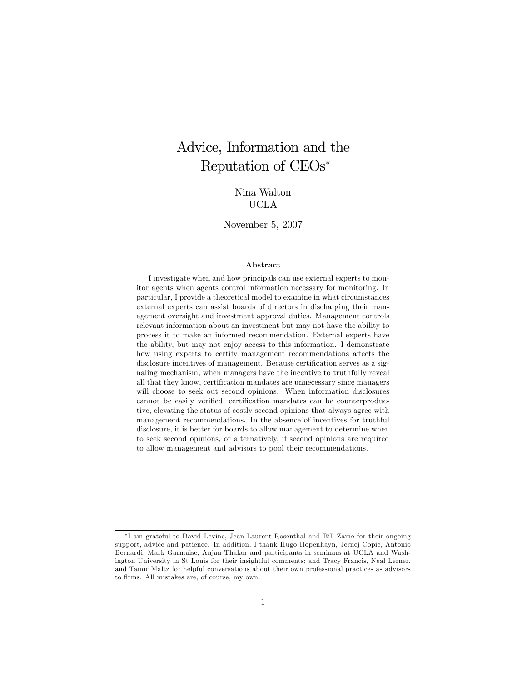# Advice, Information and the Reputation of CEOs

# Nina Walton UCLA

### November 5, 2007

#### Abstract

I investigate when and how principals can use external experts to monitor agents when agents control information necessary for monitoring. In particular, I provide a theoretical model to examine in what circumstances external experts can assist boards of directors in discharging their management oversight and investment approval duties. Management controls relevant information about an investment but may not have the ability to process it to make an informed recommendation. External experts have the ability, but may not enjoy access to this information. I demonstrate how using experts to certify management recommendations affects the disclosure incentives of management. Because certification serves as a signaling mechanism, when managers have the incentive to truthfully reveal all that they know, certification mandates are unnecessary since managers will choose to seek out second opinions. When information disclosures cannot be easily verified, certification mandates can be counterproductive, elevating the status of costly second opinions that always agree with management recommendations. In the absence of incentives for truthful disclosure, it is better for boards to allow management to determine when to seek second opinions, or alternatively, if second opinions are required to allow management and advisors to pool their recommendations.

I am grateful to David Levine, Jean-Laurent Rosenthal and Bill Zame for their ongoing support, advice and patience. In addition, I thank Hugo Hopenhayn, Jernej Copic, Antonio Bernardi, Mark Garmaise, Anjan Thakor and participants in seminars at UCLA and Washington University in St Louis for their insightful comments; and Tracy Francis, Neal Lerner, and Tamir Maltz for helpful conversations about their own professional practices as advisors to firms. All mistakes are, of course, my own.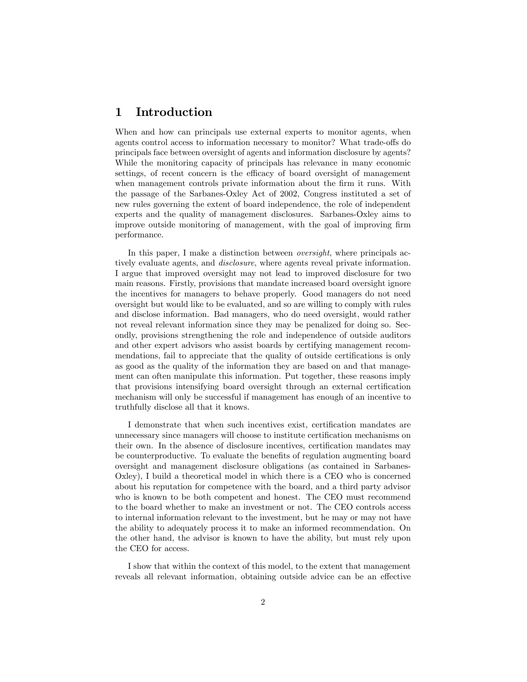# 1 Introduction

When and how can principals use external experts to monitor agents, when agents control access to information necessary to monitor? What trade-offs do principals face between oversight of agents and information disclosure by agents? While the monitoring capacity of principals has relevance in many economic settings, of recent concern is the efficacy of board oversight of management when management controls private information about the firm it runs. With the passage of the Sarbanes-Oxley Act of 2002, Congress instituted a set of new rules governing the extent of board independence, the role of independent experts and the quality of management disclosures. Sarbanes-Oxley aims to improve outside monitoring of management, with the goal of improving firm performance.

In this paper, I make a distinction between *oversight*, where principals actively evaluate agents, and disclosure, where agents reveal private information. I argue that improved oversight may not lead to improved disclosure for two main reasons. Firstly, provisions that mandate increased board oversight ignore the incentives for managers to behave properly. Good managers do not need oversight but would like to be evaluated, and so are willing to comply with rules and disclose information. Bad managers, who do need oversight, would rather not reveal relevant information since they may be penalized for doing so. Secondly, provisions strengthening the role and independence of outside auditors and other expert advisors who assist boards by certifying management recommendations, fail to appreciate that the quality of outside certifications is only as good as the quality of the information they are based on and that management can often manipulate this information. Put together, these reasons imply that provisions intensifying board oversight through an external certification mechanism will only be successful if management has enough of an incentive to truthfully disclose all that it knows.

I demonstrate that when such incentives exist, certification mandates are unnecessary since managers will choose to institute certification mechanisms on their own. In the absence of disclosure incentives, certification mandates may be counterproductive. To evaluate the benefits of regulation augmenting board oversight and management disclosure obligations (as contained in Sarbanes-Oxley), I build a theoretical model in which there is a CEO who is concerned about his reputation for competence with the board, and a third party advisor who is known to be both competent and honest. The CEO must recommend to the board whether to make an investment or not. The CEO controls access to internal information relevant to the investment, but he may or may not have the ability to adequately process it to make an informed recommendation. On the other hand, the advisor is known to have the ability, but must rely upon the CEO for access.

I show that within the context of this model, to the extent that management reveals all relevant information, obtaining outside advice can be an effective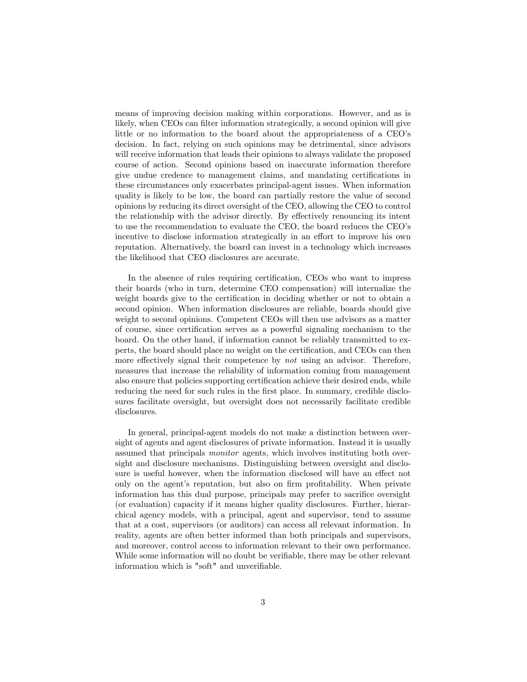means of improving decision making within corporations. However, and as is likely, when CEOs can filter information strategically, a second opinion will give little or no information to the board about the appropriateness of a CEO's decision. In fact, relying on such opinions may be detrimental, since advisors will receive information that leads their opinions to always validate the proposed course of action. Second opinions based on inaccurate information therefore give undue credence to management claims, and mandating certifications in these circumstances only exacerbates principal-agent issues. When information quality is likely to be low, the board can partially restore the value of second opinions by reducing its direct oversight of the CEO, allowing the CEO to control the relationship with the advisor directly. By effectively renouncing its intent to use the recommendation to evaluate the CEO, the board reduces the CEOís incentive to disclose information strategically in an effort to improve his own reputation. Alternatively, the board can invest in a technology which increases the likelihood that CEO disclosures are accurate.

In the absence of rules requiring certification, CEOs who want to impress their boards (who in turn, determine CEO compensation) will internalize the weight boards give to the certification in deciding whether or not to obtain a second opinion. When information disclosures are reliable, boards should give weight to second opinions. Competent CEOs will then use advisors as a matter of course, since certification serves as a powerful signaling mechanism to the board. On the other hand, if information cannot be reliably transmitted to experts, the board should place no weight on the certification, and CEOs can then more effectively signal their competence by *not* using an advisor. Therefore, measures that increase the reliability of information coming from management also ensure that policies supporting certification achieve their desired ends, while reducing the need for such rules in the first place. In summary, credible disclosures facilitate oversight, but oversight does not necessarily facilitate credible disclosures.

In general, principal-agent models do not make a distinction between oversight of agents and agent disclosures of private information. Instead it is usually assumed that principals monitor agents, which involves instituting both oversight and disclosure mechanisms. Distinguishing between oversight and disclosure is useful however, when the information disclosed will have an effect not only on the agent's reputation, but also on firm profitability. When private information has this dual purpose, principals may prefer to sacrifice oversight (or evaluation) capacity if it means higher quality disclosures. Further, hierarchical agency models, with a principal, agent and supervisor, tend to assume that at a cost, supervisors (or auditors) can access all relevant information. In reality, agents are often better informed than both principals and supervisors, and moreover, control access to information relevant to their own performance. While some information will no doubt be verifiable, there may be other relevant information which is "soft" and unverifiable.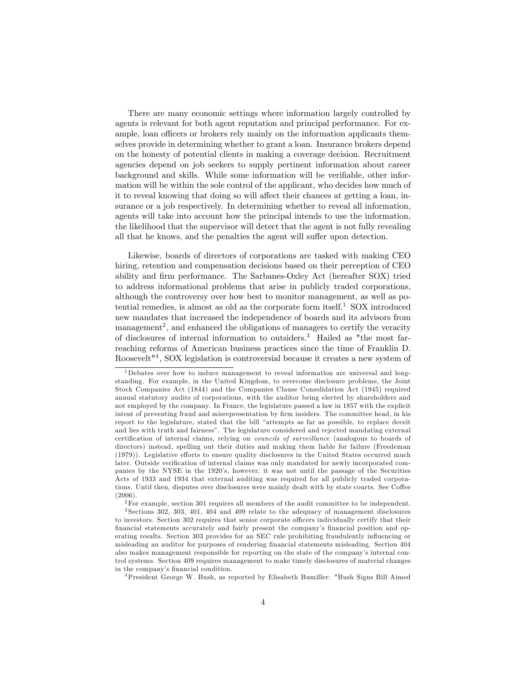There are many economic settings where information largely controlled by agents is relevant for both agent reputation and principal performance. For example, loan officers or brokers rely mainly on the information applicants themselves provide in determining whether to grant a loan. Insurance brokers depend on the honesty of potential clients in making a coverage decision. Recruitment agencies depend on job seekers to supply pertinent information about career background and skills. While some information will be verifiable, other information will be within the sole control of the applicant, who decides how much of it to reveal knowing that doing so will affect their chances at getting a loan, insurance or a job respectively. In determining whether to reveal all information, agents will take into account how the principal intends to use the information, the likelihood that the supervisor will detect that the agent is not fully revealing all that he knows, and the penalties the agent will suffer upon detection.

Likewise, boards of directors of corporations are tasked with making CEO hiring, retention and compensation decisions based on their perception of CEO ability and Örm performance. The Sarbanes-Oxley Act (hereafter SOX) tried to address informational problems that arise in publicly traded corporations, although the controversy over how best to monitor management, as well as potential remedies, is almost as old as the corporate form itself.<sup>1</sup> SOX introduced new mandates that increased the independence of boards and its advisors from management<sup>2</sup>, and enhanced the obligations of managers to certify the veracity of disclosures of internal information to outsiders.<sup>3</sup> Hailed as "the most farreaching reforms of American business practices since the time of Franklin D. Roosevelt"<sup>4</sup> , SOX legislation is controversial because it creates a new system of

 $2$  For example, section 301 requires all members of the audit committee to be independent.

<sup>4</sup>President George W. Bush, as reported by Elisabeth Bumiller: "Bush Signs Bill Aimed

<sup>1</sup>Debates over how to induce management to reveal information are universal and longstanding. For example, in the United Kingdom, to overcome disclosure problems, the Joint Stock Companies Act (1844) and the Companies Clause Consolidation Act (1945) required annual statutory audits of corporations, with the auditor being elected by shareholders and not employed by the company. In France, the legislature passed a law in 1857 with the explicit intent of preventing fraud and misrepresentation by firm insiders. The committee head, in his report to the legislature, stated that the bill "attempts as far as possible, to replace deceit and lies with truth and fairness". The legislature considered and rejected mandating external certification of internal claims, relying on *councils of surveillance* (analogous to boards of directors) instead, spelling out their duties and making them liable for failure (Freedeman (1979)). Legislative efforts to ensure quality disclosures in the United States occurred much later. Outside verification of internal claims was only mandated for newly incorporated companies by the NYSE in the 1920ís, however, it was not until the passage of the Securities Acts of 1933 and 1934 that external auditing was required for all publicly traded corporations. Until then, disputes over disclosures were mainly dealt with by state courts. See Coffee (2006).

<sup>3</sup> Sections 302, 303, 401, 404 and 409 relate to the adequacy of management disclosures to investors. Section 302 requires that senior corporate officers individually certify that their financial statements accurately and fairly present the company's financial position and operating results. Section 303 provides for an SEC rule prohibiting fraudulently influencing or misleading an auditor for purposes of rendering financial statements misleading. Section 404 also makes management responsible for reporting on the state of the company's internal control systems. Section 409 requires management to make timely disclosures of material changes in the company's financial condition.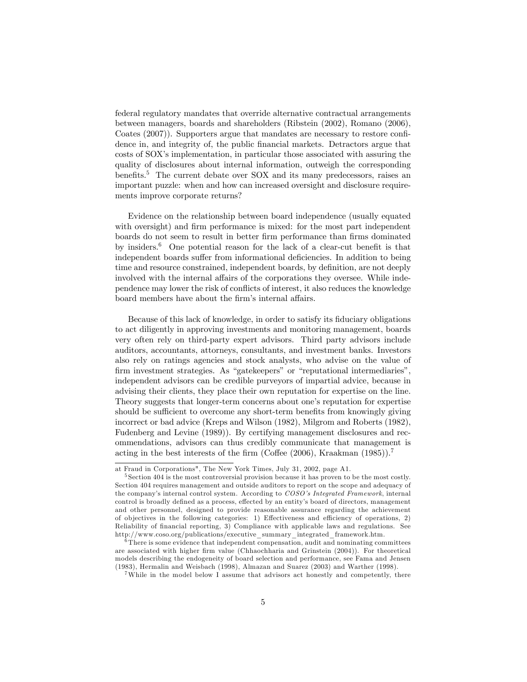federal regulatory mandates that override alternative contractual arrangements between managers, boards and shareholders (Ribstein (2002), Romano (2006), Coates (2007)). Supporters argue that mandates are necessary to restore confidence in, and integrity of, the public Önancial markets. Detractors argue that costs of SOXís implementation, in particular those associated with assuring the quality of disclosures about internal information, outweigh the corresponding benefits.<sup>5</sup> The current debate over  $SOX$  and its many predecessors, raises an important puzzle: when and how can increased oversight and disclosure requirements improve corporate returns?

Evidence on the relationship between board independence (usually equated with oversight) and firm performance is mixed: for the most part independent boards do not seem to result in better firm performance than firms dominated by insiders.<sup>6</sup> One potential reason for the lack of a clear-cut benefit is that independent boards suffer from informational deficiencies. In addition to being time and resource constrained, independent boards, by definition, are not deeply involved with the internal affairs of the corporations they oversee. While independence may lower the risk of conáicts of interest, it also reduces the knowledge board members have about the firm's internal affairs.

Because of this lack of knowledge, in order to satisfy its fiduciary obligations to act diligently in approving investments and monitoring management, boards very often rely on third-party expert advisors. Third party advisors include auditors, accountants, attorneys, consultants, and investment banks. Investors also rely on ratings agencies and stock analysts, who advise on the value of firm investment strategies. As "gatekeepers" or "reputational intermediaries", independent advisors can be credible purveyors of impartial advice, because in advising their clients, they place their own reputation for expertise on the line. Theory suggests that longer-term concerns about one's reputation for expertise should be sufficient to overcome any short-term benefits from knowingly giving incorrect or bad advice (Kreps and Wilson (1982), Milgrom and Roberts (1982), Fudenberg and Levine (1989)). By certifying management disclosures and recommendations, advisors can thus credibly communicate that management is acting in the best interests of the firm (Coffee (2006), Kraakman (1985)).<sup>7</sup>

at Fraud in Corporations", The New York Times, July 31, 2002, page A1.

<sup>&</sup>lt;sup>5</sup> Section 404 is the most controversial provision because it has proven to be the most costly. Section 404 requires management and outside auditors to report on the scope and adequacy of the company's internal control system. According to COSO's Integrated Framework, internal control is broadly defined as a process, effected by an entity's board of directors, management and other personnel, designed to provide reasonable assurance regarding the achievement of objectives in the following categories: 1) Effectiveness and efficiency of operations, 2) Reliability of financial reporting, 3) Compliance with applicable laws and regulations. See http://www.coso.org/publications/executive\_summary\_integrated\_framework.htm.

 $6$ There is some evidence that independent compensation, audit and nominating committees are associated with higher firm value (Chhaochharia and Grinstein (2004)). For theoretical models describing the endogeneity of board selection and performance, see Fama and Jensen (1983), Hermalin and Weisbach (1998), Almazan and Suarez (2003) and Warther (1998).

<sup>&</sup>lt;sup>7</sup>While in the model below I assume that advisors act honestly and competently, there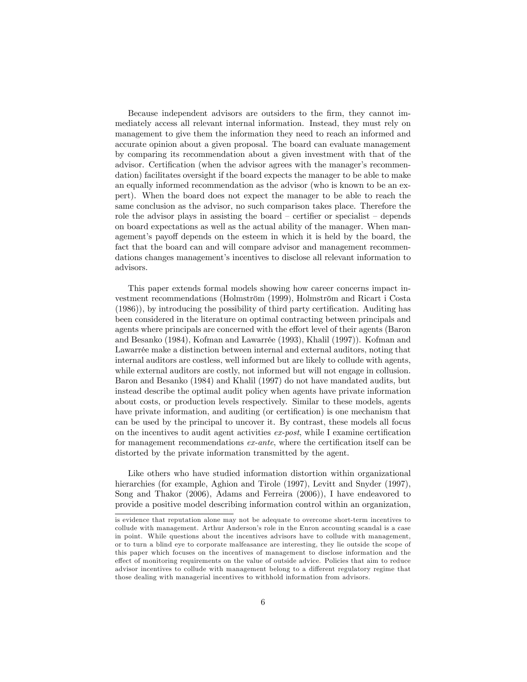Because independent advisors are outsiders to the Örm, they cannot immediately access all relevant internal information. Instead, they must rely on management to give them the information they need to reach an informed and accurate opinion about a given proposal. The board can evaluate management by comparing its recommendation about a given investment with that of the advisor. Certification (when the advisor agrees with the manager's recommendation) facilitates oversight if the board expects the manager to be able to make an equally informed recommendation as the advisor (who is known to be an expert). When the board does not expect the manager to be able to reach the same conclusion as the advisor, no such comparison takes place. Therefore the role the advisor plays in assisting the board  $\overline{\phantom{a}}$  certifier or specialist  $\overline{\phantom{a}}$  depends on board expectations as well as the actual ability of the manager. When management's payoff depends on the esteem in which it is held by the board, the fact that the board can and will compare advisor and management recommendations changes management's incentives to disclose all relevant information to advisors.

This paper extends formal models showing how career concerns impact investment recommendations (Holmström (1999), Holmström and Ricart i Costa  $(1986)$ , by introducing the possibility of third party certification. Auditing has been considered in the literature on optimal contracting between principals and agents where principals are concerned with the effort level of their agents (Baron and Besanko (1984), Kofman and Lawarrée (1993), Khalil (1997)). Kofman and Lawarrée make a distinction between internal and external auditors, noting that internal auditors are costless, well informed but are likely to collude with agents, while external auditors are costly, not informed but will not engage in collusion. Baron and Besanko (1984) and Khalil (1997) do not have mandated audits, but instead describe the optimal audit policy when agents have private information about costs, or production levels respectively. Similar to these models, agents have private information, and auditing (or certification) is one mechanism that can be used by the principal to uncover it. By contrast, these models all focus on the incentives to audit agent activities  $ex\text{-}post$ , while I examine certification for management recommendations  $ex$ -ante, where the certification itself can be distorted by the private information transmitted by the agent.

Like others who have studied information distortion within organizational hierarchies (for example, Aghion and Tirole (1997), Levitt and Snyder (1997), Song and Thakor (2006), Adams and Ferreira (2006)), I have endeavored to provide a positive model describing information control within an organization,

is evidence that reputation alone may not be adequate to overcome short-term incentives to collude with management. Arthur Anderson's role in the Enron accounting scandal is a case in point. While questions about the incentives advisors have to collude with management, or to turn a blind eye to corporate malfeasance are interesting, they lie outside the scope of this paper which focuses on the incentives of management to disclose information and the effect of monitoring requirements on the value of outside advice. Policies that aim to reduce advisor incentives to collude with management belong to a different regulatory regime that those dealing with managerial incentives to withhold information from advisors.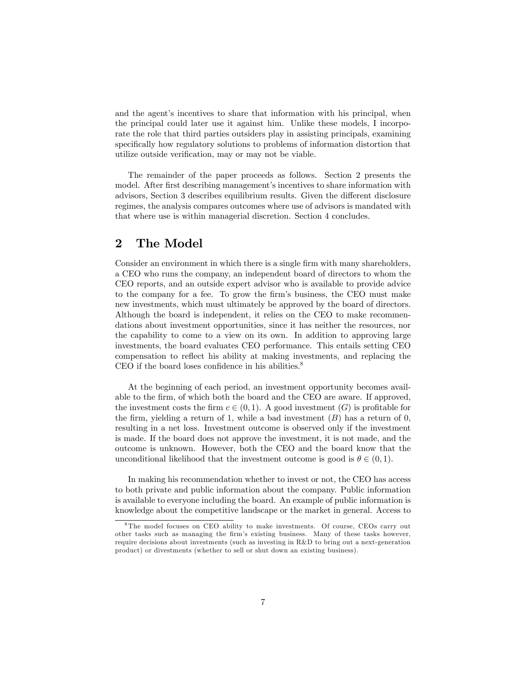and the agent's incentives to share that information with his principal, when the principal could later use it against him. Unlike these models, I incorporate the role that third parties outsiders play in assisting principals, examining specifically how regulatory solutions to problems of information distortion that utilize outside verification, may or may not be viable.

The remainder of the paper proceeds as follows. Section 2 presents the model. After first describing management's incentives to share information with advisors, Section 3 describes equilibrium results. Given the different disclosure regimes, the analysis compares outcomes where use of advisors is mandated with that where use is within managerial discretion. Section 4 concludes.

# 2 The Model

Consider an environment in which there is a single firm with many shareholders, a CEO who runs the company, an independent board of directors to whom the CEO reports, and an outside expert advisor who is available to provide advice to the company for a fee. To grow the firm's business, the CEO must make new investments, which must ultimately be approved by the board of directors. Although the board is independent, it relies on the CEO to make recommendations about investment opportunities, since it has neither the resources, nor the capability to come to a view on its own. In addition to approving large investments, the board evaluates CEO performance. This entails setting CEO compensation to reflect his ability at making investments, and replacing the CEO if the board loses confidence in his abilities. $8$ 

At the beginning of each period, an investment opportunity becomes available to the Örm, of which both the board and the CEO are aware. If approved, the investment costs the firm  $c \in (0, 1)$ . A good investment  $(G)$  is profitable for the firm, yielding a return of 1, while a bad investment  $(B)$  has a return of 0, resulting in a net loss. Investment outcome is observed only if the investment is made. If the board does not approve the investment, it is not made, and the outcome is unknown. However, both the CEO and the board know that the unconditional likelihood that the investment outcome is good is  $\theta \in (0, 1)$ .

In making his recommendation whether to invest or not, the CEO has access to both private and public information about the company. Public information is available to everyone including the board. An example of public information is knowledge about the competitive landscape or the market in general. Access to

<sup>8</sup> The model focuses on CEO ability to make investments. Of course, CEOs carry out other tasks such as managing the Örmís existing business. Many of these tasks however, require decisions about investments (such as investing in R&D to bring out a next-generation product) or divestments (whether to sell or shut down an existing business).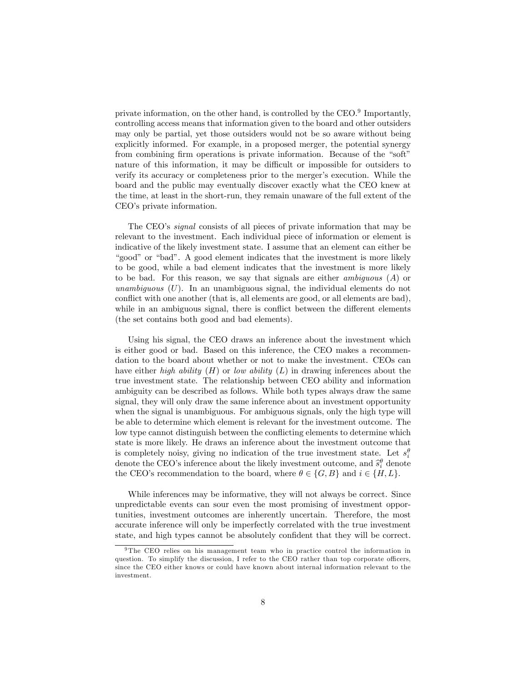private information, on the other hand, is controlled by the CEO.<sup>9</sup> Importantly, controlling access means that information given to the board and other outsiders may only be partial, yet those outsiders would not be so aware without being explicitly informed. For example, in a proposed merger, the potential synergy from combining firm operations is private information. Because of the "soft" nature of this information, it may be difficult or impossible for outsiders to verify its accuracy or completeness prior to the merger's execution. While the board and the public may eventually discover exactly what the CEO knew at the time, at least in the short-run, they remain unaware of the full extent of the CEO's private information.

The CEO's *signal* consists of all pieces of private information that may be relevant to the investment. Each individual piece of information or element is indicative of the likely investment state. I assume that an element can either be "good" or "bad". A good element indicates that the investment is more likely to be good, while a bad element indicates that the investment is more likely to be bad. For this reason, we say that signals are either ambiguous (A) or unambiguous  $(U)$ . In an unambiguous signal, the individual elements do not conflict with one another (that is, all elements are good, or all elements are bad), while in an ambiguous signal, there is conflict between the different elements (the set contains both good and bad elements).

Using his signal, the CEO draws an inference about the investment which is either good or bad. Based on this inference, the CEO makes a recommendation to the board about whether or not to make the investment. CEOs can have either *high ability*  $(H)$  or *low ability*  $(L)$  in drawing inferences about the true investment state. The relationship between CEO ability and information ambiguity can be described as follows. While both types always draw the same signal, they will only draw the same inference about an investment opportunity when the signal is unambiguous. For ambiguous signals, only the high type will be able to determine which element is relevant for the investment outcome. The low type cannot distinguish between the conflicting elements to determine which state is more likely. He draws an inference about the investment outcome that is completely noisy, giving no indication of the true investment state. Let  $s_i^{\theta}$ denote the CEO's inference about the likely investment outcome, and  $\hat{s}_i^{\theta}$  denote the CEO's recommendation to the board, where  $\theta \in \{G, B\}$  and  $i \in \{H, L\}$ .

While inferences may be informative, they will not always be correct. Since unpredictable events can sour even the most promising of investment opportunities, investment outcomes are inherently uncertain. Therefore, the most accurate inference will only be imperfectly correlated with the true investment state, and high types cannot be absolutely confident that they will be correct.

<sup>&</sup>lt;sup>9</sup>The CEO relies on his management team who in practice control the information in question. To simplify the discussion, I refer to the CEO rather than top corporate officers, since the CEO either knows or could have known about internal information relevant to the investment.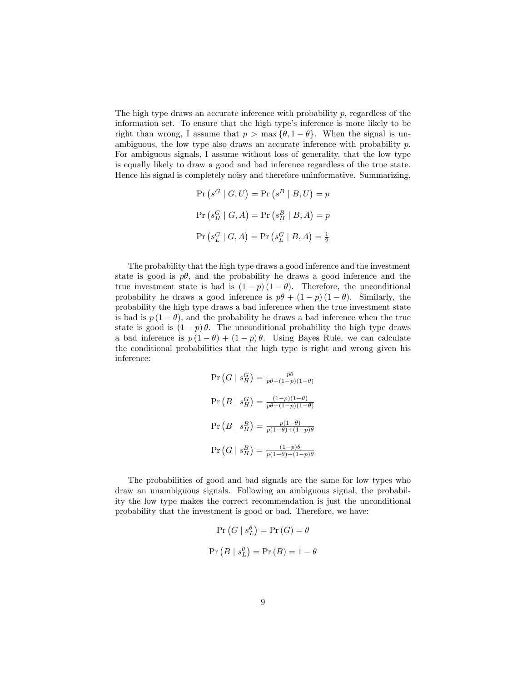The high type draws an accurate inference with probability  $p$ , regardless of the information set. To ensure that the high type's inference is more likely to be right than wrong, I assume that  $p > \max{\lbrace \theta, 1-\theta \rbrace}$ . When the signal is unambiguous, the low type also draws an accurate inference with probability p. For ambiguous signals, I assume without loss of generality, that the low type is equally likely to draw a good and bad inference regardless of the true state. Hence his signal is completely noisy and therefore uninformative. Summarizing,

$$
\Pr\left(s^G \mid G, U\right) = \Pr\left(s^B \mid B, U\right) = p
$$
\n
$$
\Pr\left(s_H^G \mid G, A\right) = \Pr\left(s_H^B \mid B, A\right) = p
$$
\n
$$
\Pr\left(s_L^G \mid G, A\right) = \Pr\left(s_L^G \mid B, A\right) = \frac{1}{2}
$$

The probability that the high type draws a good inference and the investment state is good is  $p\theta$ , and the probability he draws a good inference and the true investment state is bad is  $(1 - p)(1 - \theta)$ . Therefore, the unconditional probability he draws a good inference is  $p\theta + (1 - p)(1 - \theta)$ . Similarly, the probability the high type draws a bad inference when the true investment state is bad is  $p(1 - \theta)$ , and the probability he draws a bad inference when the true state is good is  $(1-p)\theta$ . The unconditional probability the high type draws a bad inference is  $p(1 - \theta) + (1 - p)\theta$ . Using Bayes Rule, we can calculate the conditional probabilities that the high type is right and wrong given his inference:

$$
\Pr\left(G \mid s_H^G\right) = \frac{p\theta}{p\theta + (1-p)(1-\theta)}
$$
\n
$$
\Pr\left(B \mid s_H^G\right) = \frac{(1-p)(1-\theta)}{p\theta + (1-p)(1-\theta)}
$$
\n
$$
\Pr\left(B \mid s_H^B\right) = \frac{p(1-\theta)}{p(1-\theta) + (1-p)\theta}
$$
\n
$$
\Pr\left(G \mid s_H^B\right) = \frac{(1-p)\theta}{p(1-\theta) + (1-p)\theta}
$$

The probabilities of good and bad signals are the same for low types who draw an unambiguous signals. Following an ambiguous signal, the probability the low type makes the correct recommendation is just the unconditional probability that the investment is good or bad. Therefore, we have:

$$
\Pr(G \mid s_L^{\theta}) = \Pr(G) = \theta
$$
  

$$
\Pr(B \mid s_L^{\theta}) = \Pr(B) = 1 - \theta
$$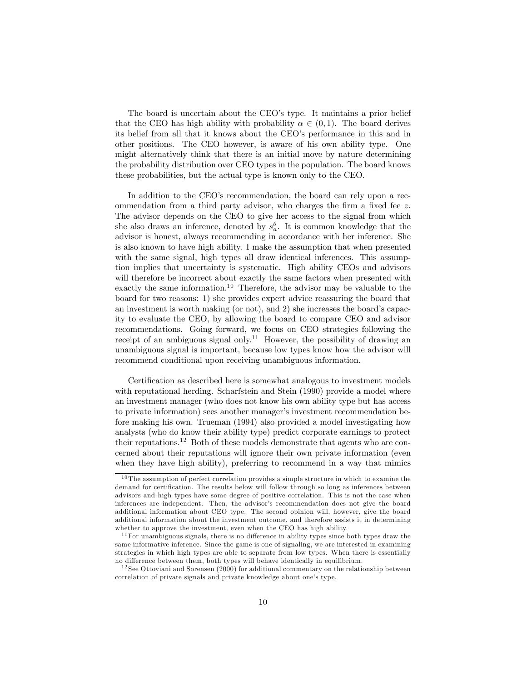The board is uncertain about the CEO's type. It maintains a prior belief that the CEO has high ability with probability  $\alpha \in (0,1)$ . The board derives its belief from all that it knows about the CEO's performance in this and in other positions. The CEO however, is aware of his own ability type. One might alternatively think that there is an initial move by nature determining the probability distribution over CEO types in the population. The board knows these probabilities, but the actual type is known only to the CEO.

In addition to the CEO's recommendation, the board can rely upon a recommendation from a third party advisor, who charges the firm a fixed fee  $z$ . The advisor depends on the CEO to give her access to the signal from which she also draws an inference, denoted by  $s_a^{\theta}$ . It is common knowledge that the advisor is honest, always recommending in accordance with her inference. She is also known to have high ability. I make the assumption that when presented with the same signal, high types all draw identical inferences. This assumption implies that uncertainty is systematic. High ability CEOs and advisors will therefore be incorrect about exactly the same factors when presented with exactly the same information.<sup>10</sup> Therefore, the advisor may be valuable to the board for two reasons: 1) she provides expert advice reassuring the board that an investment is worth making (or not), and  $2$ ) she increases the board's capacity to evaluate the CEO, by allowing the board to compare CEO and advisor recommendations. Going forward, we focus on CEO strategies following the receipt of an ambiguous signal only.<sup>11</sup> However, the possibility of drawing an unambiguous signal is important, because low types know how the advisor will recommend conditional upon receiving unambiguous information.

Certification as described here is somewhat analogous to investment models with reputational herding. Scharfstein and Stein (1990) provide a model where an investment manager (who does not know his own ability type but has access to private information) sees another manager's investment recommendation before making his own. Trueman (1994) also provided a model investigating how analysts (who do know their ability type) predict corporate earnings to protect their reputations.<sup>12</sup> Both of these models demonstrate that agents who are concerned about their reputations will ignore their own private information (even when they have high ability), preferring to recommend in a way that mimics

 $10$  The assumption of perfect correlation provides a simple structure in which to examine the demand for certification. The results below will follow through so long as inferences between advisors and high types have some degree of positive correlation. This is not the case when inferences are independent. Then, the advisor's recommendation does not give the board additional information about CEO type. The second opinion will, however, give the board additional information about the investment outcome, and therefore assists it in determining whether to approve the investment, even when the CEO has high ability.

 $11$  For unambiguous signals, there is no difference in ability types since both types draw the same informative inference. Since the game is one of signaling, we are interested in examining strategies in which high types are able to separate from low types. When there is essentially no difference between them, both types will behave identically in equilibrium.

 $12$  See Ottoviani and Sorensen (2000) for additional commentary on the relationship between correlation of private signals and private knowledge about one's type.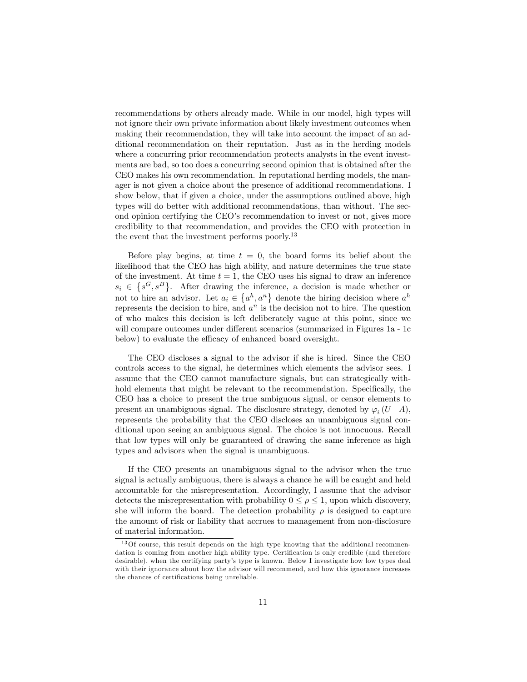recommendations by others already made. While in our model, high types will not ignore their own private information about likely investment outcomes when making their recommendation, they will take into account the impact of an additional recommendation on their reputation. Just as in the herding models where a concurring prior recommendation protects analysts in the event investments are bad, so too does a concurring second opinion that is obtained after the CEO makes his own recommendation. In reputational herding models, the manager is not given a choice about the presence of additional recommendations. I show below, that if given a choice, under the assumptions outlined above, high types will do better with additional recommendations, than without. The second opinion certifying the CEO's recommendation to invest or not, gives more credibility to that recommendation, and provides the CEO with protection in the event that the investment performs poorly.<sup>13</sup>

Before play begins, at time  $t = 0$ , the board forms its belief about the likelihood that the CEO has high ability, and nature determines the true state of the investment. At time  $t = 1$ , the CEO uses his signal to draw an inference  $s_i \in \{s^G, s^B\}$ . After drawing the inference, a decision is made whether or not to hire an advisor. Let  $a_i \in \{a^h, a^n\}$  denote the hiring decision where  $a^h$ represents the decision to hire, and  $a^n$  is the decision not to hire. The question of who makes this decision is left deliberately vague at this point, since we will compare outcomes under different scenarios (summarized in Figures 1a - 1c) below) to evaluate the efficacy of enhanced board oversight.

The CEO discloses a signal to the advisor if she is hired. Since the CEO controls access to the signal, he determines which elements the advisor sees. I assume that the CEO cannot manufacture signals, but can strategically withhold elements that might be relevant to the recommendation. Specifically, the CEO has a choice to present the true ambiguous signal, or censor elements to present an unambiguous signal. The disclosure strategy, denoted by  $\varphi_i(U \mid A)$ , represents the probability that the CEO discloses an unambiguous signal conditional upon seeing an ambiguous signal. The choice is not innocuous. Recall that low types will only be guaranteed of drawing the same inference as high types and advisors when the signal is unambiguous.

If the CEO presents an unambiguous signal to the advisor when the true signal is actually ambiguous, there is always a chance he will be caught and held accountable for the misrepresentation. Accordingly, I assume that the advisor detects the misrepresentation with probability  $0 \leq \rho \leq 1$ , upon which discovery, she will inform the board. The detection probability  $\rho$  is designed to capture the amount of risk or liability that accrues to management from non-disclosure of material information.

<sup>&</sup>lt;sup>13</sup>Of course, this result depends on the high type knowing that the additional recommendation is coming from another high ability type. Certification is only credible (and therefore desirable), when the certifying party's type is known. Below I investigate how low types deal with their ignorance about how the advisor will recommend, and how this ignorance increases the chances of certifications being unreliable.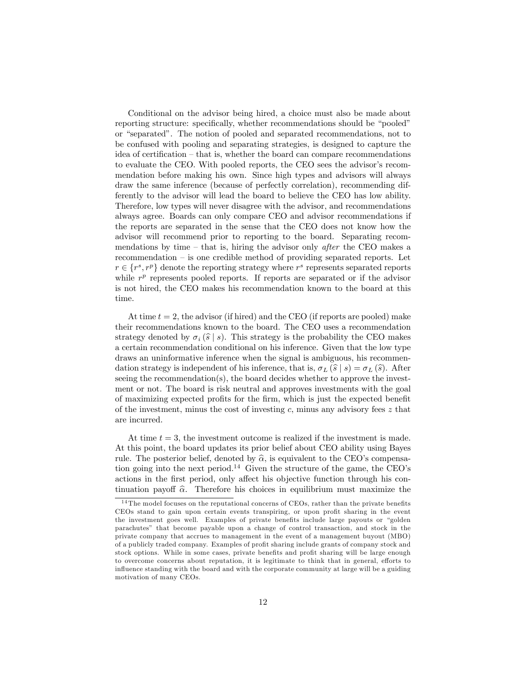Conditional on the advisor being hired, a choice must also be made about reporting structure: specifically, whether recommendations should be "pooled" or "separated". The notion of pooled and separated recommendations, not to be confused with pooling and separating strategies, is designed to capture the idea of certification  $-\text{that}$  is, whether the board can compare recommendations to evaluate the CEO. With pooled reports, the CEO sees the advisor's recommendation before making his own. Since high types and advisors will always draw the same inference (because of perfectly correlation), recommending differently to the advisor will lead the board to believe the CEO has low ability. Therefore, low types will never disagree with the advisor, and recommendations always agree. Boards can only compare CEO and advisor recommendations if the reports are separated in the sense that the CEO does not know how the advisor will recommend prior to reporting to the board. Separating recommendations by time – that is, hiring the advisor only *after* the CEO makes a recommendation  $\overline{\phantom{a}}$  is one credible method of providing separated reports. Let  $r \in \{r^s, r^p\}$  denote the reporting strategy where  $r^s$  represents separated reports while  $r^p$  represents pooled reports. If reports are separated or if the advisor is not hired, the CEO makes his recommendation known to the board at this time.

At time  $t = 2$ , the advisor (if hired) and the CEO (if reports are pooled) make their recommendations known to the board. The CEO uses a recommendation strategy denoted by  $\sigma_i (\hat{s} | s)$ . This strategy is the probability the CEO makes a certain recommendation conditional on his inference. Given that the low type draws an uninformative inference when the signal is ambiguous, his recommendation strategy is independent of his inference, that is,  $\sigma_L (\hat{s} | s) = \sigma_L (\hat{s})$ . After seeing the recommendation(s), the board decides whether to approve the investment or not. The board is risk neutral and approves investments with the goal of maximizing expected profits for the firm, which is just the expected benefit of the investment, minus the cost of investing c, minus any advisory fees  $z$  that are incurred.

At time  $t = 3$ , the investment outcome is realized if the investment is made. At this point, the board updates its prior belief about CEO ability using Bayes rule. The posterior belief, denoted by  $\hat{\alpha}$ , is equivalent to the CEO's compensation going into the next period.<sup>14</sup> Given the structure of the game, the CEO's actions in the first period, only affect his objective function through his continuation payoff  $\hat{\alpha}$ . Therefore his choices in equilibrium must maximize the

 $14$ The model focuses on the reputational concerns of CEOs, rather than the private benefits CEOs stand to gain upon certain events transpiring, or upon profit sharing in the event the investment goes well. Examples of private benefits include large payouts or "golden parachutesî that become payable upon a change of control transaction, and stock in the private company that accrues to management in the event of a management buyout (MBO) of a publicly traded company. Examples of profit sharing include grants of company stock and stock options. While in some cases, private benefits and profit sharing will be large enough to overcome concerns about reputation, it is legitimate to think that in general, efforts to influence standing with the board and with the corporate community at large will be a guiding motivation of many CEOs.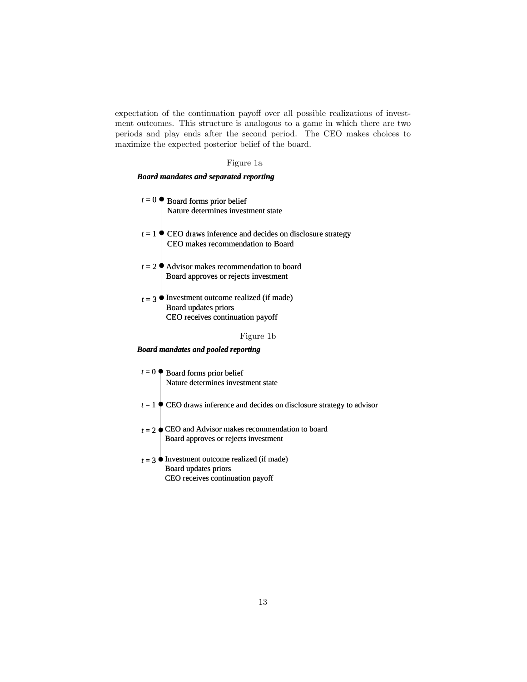expectation of the continuation payoff over all possible realizations of investment outcomes. This structure is analogous to a game in which there are two periods and play ends after the second period. The CEO makes choices to maximize the expected posterior belief of the board.

Figure 1a

## *Board mandates and separated reporting*

| $t = 0$ Board forms prior belief<br>Nature determines investment state                              |
|-----------------------------------------------------------------------------------------------------|
|                                                                                                     |
| $t = 1$ CEO draws inference and decides on disclosure strategy<br>CEO makes recommendation to Board |
|                                                                                                     |
| $t = 2$ Advisor makes recommendation to board<br>Board approves or rejects investment               |
| Investment outcome realized (if made)                                                               |
| Board updates priors                                                                                |
| CEO receives continuation payoff                                                                    |
| Figure 1b                                                                                           |

#### *Board mandates and pooled reporting*

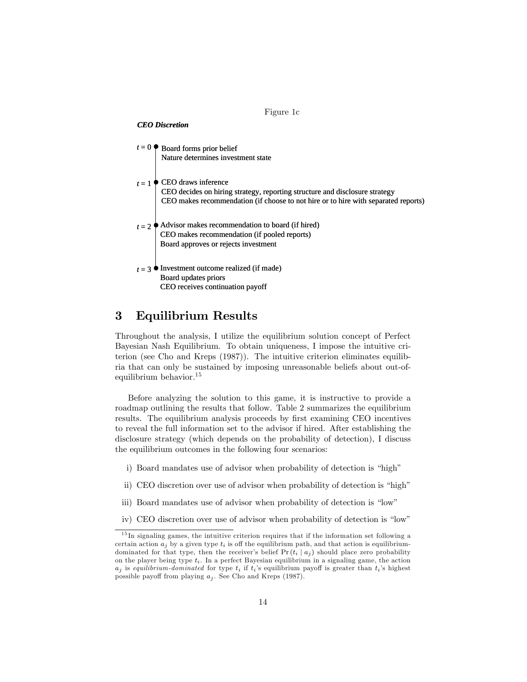

# 3 Equilibrium Results

Throughout the analysis, I utilize the equilibrium solution concept of Perfect Bayesian Nash Equilibrium. To obtain uniqueness, I impose the intuitive criterion (see Cho and Kreps (1987)). The intuitive criterion eliminates equilibria that can only be sustained by imposing unreasonable beliefs about out-ofequilibrium behavior.<sup>15</sup>

Before analyzing the solution to this game, it is instructive to provide a roadmap outlining the results that follow. Table 2 summarizes the equilibrium results. The equilibrium analysis proceeds by first examining CEO incentives to reveal the full information set to the advisor if hired. After establishing the disclosure strategy (which depends on the probability of detection), I discuss the equilibrium outcomes in the following four scenarios:

- i) Board mandates use of advisor when probability of detection is "high"
- ii) CEO discretion over use of advisor when probability of detection is "high"
- iii) Board mandates use of advisor when probability of detection is "low"
- iv) CEO discretion over use of advisor when probability of detection is "low"

 $15$  In signaling games, the intuitive criterion requires that if the information set following a certain action  $a_j$  by a given type  $t_i$  is off the equilibrium path, and that action is equilibriumdominated for that type, then the receiver's belief  $Pr(t_i | a_i)$  should place zero probability on the player being type  $t_i$ . In a perfect Bayesian equilibrium in a signaling game, the action  $a_j$  is equilibrium-dominated for type  $t_i$  if  $t_i$ 's equilibrium payoff is greater than  $t_i$ 's highest possible payoff from playing  $a_j$ . See Cho and Kreps (1987).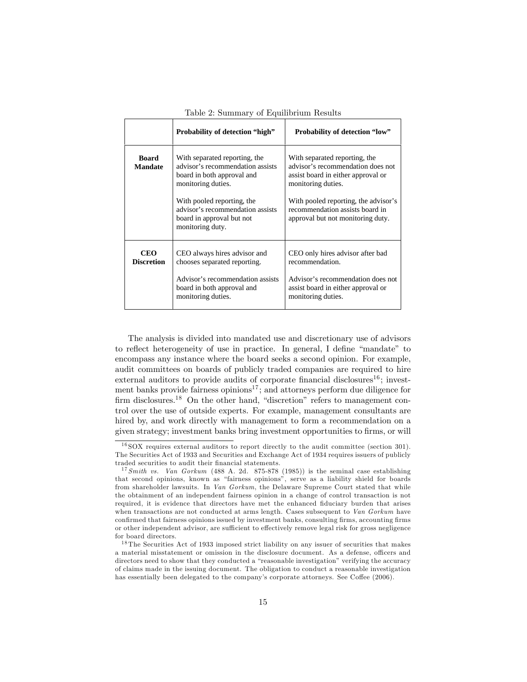|                                 | <b>Probability of detection "high"</b>                                                                                                                                                                                                   | <b>Probability of detection "low"</b>                                                                                                                                                                                                          |
|---------------------------------|------------------------------------------------------------------------------------------------------------------------------------------------------------------------------------------------------------------------------------------|------------------------------------------------------------------------------------------------------------------------------------------------------------------------------------------------------------------------------------------------|
| <b>Board</b><br><b>Mandate</b>  | With separated reporting, the<br>advisor's recommendation assists<br>board in both approval and<br>monitoring duties.<br>With pooled reporting, the<br>advisor's recommendation assists<br>board in approval but not<br>monitoring duty. | With separated reporting, the<br>advisor's recommendation does not<br>assist board in either approval or<br>monitoring duties.<br>With pooled reporting, the advisor's<br>recommendation assists board in<br>approval but not monitoring duty. |
| <b>CEO</b><br><b>Discretion</b> | CEO always hires advisor and<br>chooses separated reporting.<br>Advisor's recommendation assists<br>board in both approval and<br>monitoring duties.                                                                                     | CEO only hires advisor after bad<br>recommendation.<br>Advisor's recommendation does not<br>assist board in either approval or<br>monitoring duties.                                                                                           |

|  |  |  |  | Table 2: Summary of Equilibrium Results |  |
|--|--|--|--|-----------------------------------------|--|
|--|--|--|--|-----------------------------------------|--|

The analysis is divided into mandated use and discretionary use of advisors to reflect heterogeneity of use in practice. In general, I define "mandate" to encompass any instance where the board seeks a second opinion. For example, audit committees on boards of publicly traded companies are required to hire external auditors to provide audits of corporate financial disclosures<sup>16</sup>; investment banks provide fairness opinions<sup>17</sup>; and attorneys perform due diligence for firm disclosures.<sup>18</sup> On the other hand, "discretion" refers to management control over the use of outside experts. For example, management consultants are hired by, and work directly with management to form a recommendation on a given strategy; investment banks bring investment opportunities to firms, or will

 $16$  SOX requires external auditors to report directly to the audit committee (section 301). The Securities Act of 1933 and Securities and Exchange Act of 1934 requires issuers of publicly traded securities to audit their financial statements.

<sup>&</sup>lt;sup>17</sup> Smith vs. Van Gorkum (488 A. 2d. 875-878 (1985)) is the seminal case establishing that second opinions, known as "fairness opinions", serve as a liability shield for boards from shareholder lawsuits. In Van Gorkum, the Delaware Supreme Court stated that while the obtainment of an independent fairness opinion in a change of control transaction is not required, it is evidence that directors have met the enhanced fiduciary burden that arises when transactions are not conducted at arms length. Cases subsequent to Van Gorkum have confirmed that fairness opinions issued by investment banks, consulting firms, accounting firms or other independent advisor, are sufficient to effectively remove legal risk for gross negligence for board directors.

 $^{18}{\rm The}$  Securities Act of 1933 imposed strict liability on any issuer of securities that makes a material misstatement or omission in the disclosure document. As a defense, officers and directors need to show that they conducted a "reasonable investigation" verifying the accuracy of claims made in the issuing document. The obligation to conduct a reasonable investigation has essentially been delegated to the company's corporate attorneys. See Coffee (2006).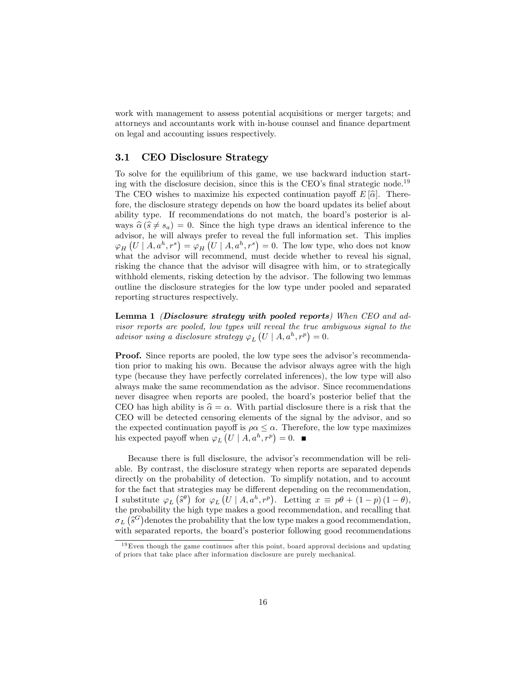work with management to assess potential acquisitions or merger targets; and attorneys and accountants work with in-house counsel and finance department on legal and accounting issues respectively.

## 3.1 CEO Disclosure Strategy

To solve for the equilibrium of this game, we use backward induction starting with the disclosure decision, since this is the CEO's final strategic node.<sup>19</sup> The CEO wishes to maximize his expected continuation payoff  $E[\hat{\alpha}]$ . Therefore, the disclosure strategy depends on how the board updates its belief about ability type. If recommendations do not match, the board's posterior is always  $\hat{\alpha} (\hat{s} \neq s_a) = 0$ . Since the high type draws an identical inference to the advisor, he will always prefer to reveal the full information set. This implies  $\varphi_H\left(U\mid A, a^h, r^s\right) = \varphi_H\left(U\mid A, a^h, r^s\right) = 0.$  The low type, who does not know what the advisor will recommend, must decide whether to reveal his signal, risking the chance that the advisor will disagree with him, or to strategically withhold elements, risking detection by the advisor. The following two lemmas outline the disclosure strategies for the low type under pooled and separated reporting structures respectively.

Lemma 1 (Disclosure strategy with pooled reports) When CEO and advisor reports are pooled, low types will reveal the true ambiguous signal to the advisor using a disclosure strategy  $\varphi_L(L \mid A, a^h, r^p) = 0$ .

**Proof.** Since reports are pooled, the low type sees the advisor's recommendation prior to making his own. Because the advisor always agree with the high type (because they have perfectly correlated inferences), the low type will also always make the same recommendation as the advisor. Since recommendations never disagree when reports are pooled, the board's posterior belief that the CEO has high ability is  $\hat{\alpha} = \alpha$ . With partial disclosure there is a risk that the CEO will be detected censoring elements of the signal by the advisor, and so the expected continuation payoff is  $\rho \alpha \leq \alpha$ . Therefore, the low type maximizes his expected payoff when  $\varphi_L\left(U \mid A, a^h, r^p\right) = 0.$ 

Because there is full disclosure, the advisor's recommendation will be reliable. By contrast, the disclosure strategy when reports are separated depends directly on the probability of detection. To simplify notation, and to account for the fact that strategies may be different depending on the recommendation, I substitute  $\varphi_L(\hat{s}^\theta)$  for  $\varphi_L(U \mid A, a^h, r^p)$ . Letting  $x \equiv p\theta + (1-p)(1-\theta)$ , the probability the high type makes a good recommendation, and recalling that  $\sigma_L(\hat{s}^G)$  denotes the probability that the low type makes a good recommendation, with separated reports, the board's posterior following good recommendations

 $19$  Even though the game continues after this point, board approval decisions and updating of priors that take place after information disclosure are purely mechanical.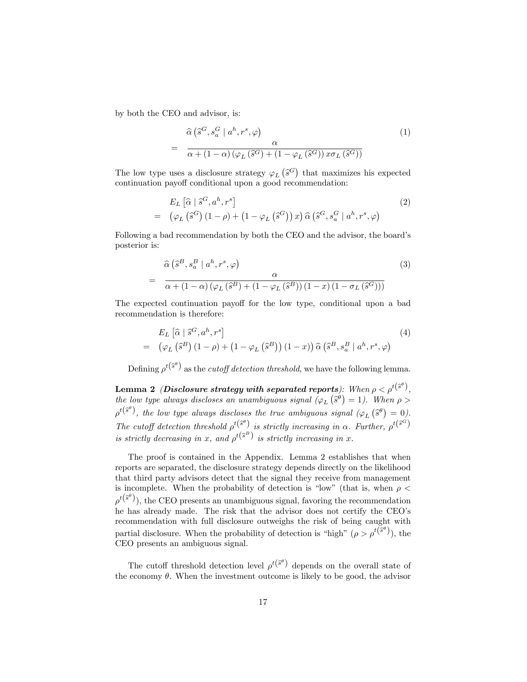by both the CEO and advisor, is:

=

=

$$
= \frac{\widehat{\alpha}\left(\widehat{s}^G, s_a^G \mid a^h, r^s, \varphi\right)}{\alpha + (1 - \alpha)\left(\varphi_L\left(\widehat{s}^G\right) + (1 - \varphi_L\left(\widehat{s}^G\right))x\sigma_L\left(\widehat{s}^G\right)\right)}
$$
(1)

The low type uses a disclosure strategy  $\varphi_L(\hat{s}^G)$  that maximizes his expected continuation payoff conditional upon a good recommendation:

$$
E_L\left[\widehat{\alpha}\mid \widehat{s}^G, a^h, r^s\right]
$$
\n
$$
= (\varphi_L\left(\widehat{s}^G\right)(1-\rho) + (1-\varphi_L\left(\widehat{s}^G\right))x)\widehat{\alpha}\left(\widehat{s}^G, s_a^G \mid a^h, r^s, \varphi\right)
$$
\n
$$
(2)
$$

Following a bad recommendation by both the CEO and the advisor, the board's posterior is:

$$
\hat{\alpha}\left(\hat{s}^B, s_a^B \mid a^h, r^s, \varphi\right) \qquad \alpha \qquad (3)
$$
\n
$$
= \frac{\alpha}{\alpha + (1 - \alpha)\left(\varphi_L\left(\hat{s}^B\right) + (1 - \varphi_L\left(\hat{s}^B\right))\left(1 - x\right)\left(1 - \sigma_L\left(\hat{s}^G\right)\right)\right)}
$$

The expected continuation payoff for the low type, conditional upon a bad recommendation is therefore:

$$
E_L\left[\hat{\alpha}\mid\hat{s}^G, a^h, r^s\right]
$$
  
=  $\left(\varphi_L\left(\hat{s}^B\right)(1-\rho) + \left(1-\varphi_L\left(\hat{s}^B\right)\right)(1-x)\right)\hat{\alpha}\left(\hat{s}^B, s_a^B \mid a^h, r^s, \varphi\right)$  (4)

Defining  $\rho^{t(\hat{s}^{\theta})}$  as the *cutoff detection threshold*, we have the following lemma.

Lemma 2 *(Disclosure strategy with separated reports):* When  $\rho < \rho^{t(\widehat{s}^{\theta})},$ the low type always discloses an unambiguous signal  $(\varphi_L(\hat{s}^{\theta}) = 1)$ . When  $\rho >$  $\rho^{t(\hat{s}^{\theta})}$ , the low type always discloses the true ambiguous signal  $(\varphi_L(\hat{s}^{\theta}) = 0)$ . The cutoff detection threshold  $\rho^{t}(\tilde{s}^{\theta})$  is strictly increasing in  $\alpha$ . Further,  $\rho^{t}(\tilde{s}^{\tilde{G}})$ is strictly decreasing in x, and  $\rho^{t(\hat{s}^B)}$  is strictly increasing in x.

The proof is contained in the Appendix. Lemma 2 establishes that when reports are separated, the disclosure strategy depends directly on the likelihood that third party advisors detect that the signal they receive from management is incomplete. When the probability of detection is "low" (that is, when  $\rho$  <  $\rho^{t(\hat{s}^{\theta})}$ ), the CEO presents an unambiguous signal, favoring the recommendation he has already made. The risk that the advisor does not certify the CEO's recommendation with full disclosure outweighs the risk of being caught with partial disclosure. When the probability of detection is "high"  $(\rho > \rho^{t(\hat{s}^{\theta})})$ , the CEO presents an ambiguous signal.

The cutoff threshold detection level  $\rho^{t}(\tilde{s}^{\theta})$  depends on the overall state of the economy  $\theta$ . When the investment outcome is likely to be good, the advisor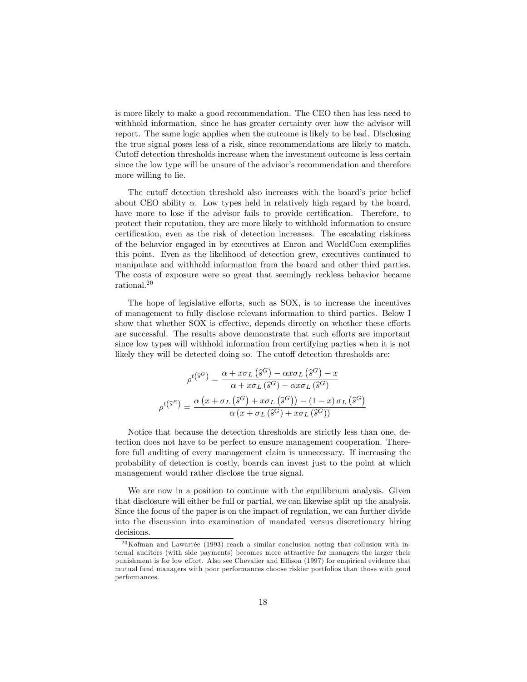is more likely to make a good recommendation. The CEO then has less need to withhold information, since he has greater certainty over how the advisor will report. The same logic applies when the outcome is likely to be bad. Disclosing the true signal poses less of a risk, since recommendations are likely to match. Cutoff detection thresholds increase when the investment outcome is less certain since the low type will be unsure of the advisor's recommendation and therefore more willing to lie.

The cutoff detection threshold also increases with the board's prior belief about CEO ability  $\alpha$ . Low types held in relatively high regard by the board, have more to lose if the advisor fails to provide certification. Therefore, to protect their reputation, they are more likely to withhold information to ensure certification, even as the risk of detection increases. The escalating riskiness of the behavior engaged in by executives at Enron and WorldCom exemplifies this point. Even as the likelihood of detection grew, executives continued to manipulate and withhold information from the board and other third parties. The costs of exposure were so great that seemingly reckless behavior became rational.<sup>20</sup>

The hope of legislative efforts, such as SOX, is to increase the incentives of management to fully disclose relevant information to third parties. Below I show that whether SOX is effective, depends directly on whether these efforts are successful. The results above demonstrate that such efforts are important since low types will withhold information from certifying parties when it is not likely they will be detected doing so. The cutoff detection thresholds are:

$$
\rho^{t(\hat{s}^G)} = \frac{\alpha + x \sigma_L(\hat{s}^G) - \alpha x \sigma_L(\hat{s}^G) - x}{\alpha + x \sigma_L(\hat{s}^G) - \alpha x \sigma_L(\hat{s}^G)}
$$

$$
\rho^{t(\hat{s}^B)} = \frac{\alpha (x + \sigma_L(\hat{s}^G) + x \sigma_L(\hat{s}^G)) - (1 - x) \sigma_L(\hat{s}^G)}{\alpha (x + \sigma_L(\hat{s}^G) + x \sigma_L(\hat{s}^G))}
$$

Notice that because the detection thresholds are strictly less than one, detection does not have to be perfect to ensure management cooperation. Therefore full auditing of every management claim is unnecessary. If increasing the probability of detection is costly, boards can invest just to the point at which management would rather disclose the true signal.

We are now in a position to continue with the equilibrium analysis. Given that disclosure will either be full or partial, we can likewise split up the analysis. Since the focus of the paper is on the impact of regulation, we can further divide into the discussion into examination of mandated versus discretionary hiring decisions.

 $20$ Kofman and Lawarrée (1993) reach a similar conclusion noting that collusion with internal auditors (with side payments) becomes more attractive for managers the larger their punishment is for low effort. Also see Chevalier and Ellison (1997) for empirical evidence that mutual fund managers with poor performances choose riskier portfolios than those with good performances.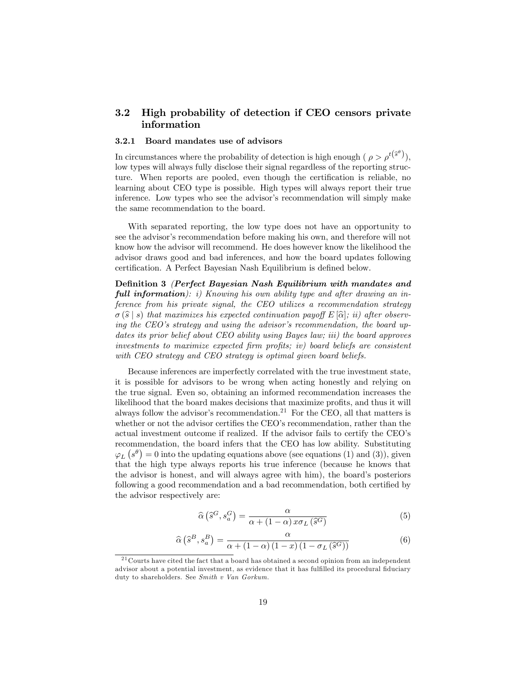## 3.2 High probability of detection if CEO censors private information

## 3.2.1 Board mandates use of advisors

In circumstances where the probability of detection is high enough ( $\rho > \rho^{t(\hat{s}^{\theta})}$ ), low types will always fully disclose their signal regardless of the reporting structure. When reports are pooled, even though the certification is reliable, no learning about CEO type is possible. High types will always report their true inference. Low types who see the advisor's recommendation will simply make the same recommendation to the board.

With separated reporting, the low type does not have an opportunity to see the advisor's recommendation before making his own, and therefore will not know how the advisor will recommend. He does however know the likelihood the advisor draws good and bad inferences, and how the board updates following certification. A Perfect Bayesian Nash Equilibrium is defined below.

Definition 3 (Perfect Bayesian Nash Equilibrium with mandates and full information): i) Knowing his own ability type and after drawing an inference from his private signal, the CEO utilizes a recommendation strategy  $\sigma(\widehat{s} | s)$  that maximizes his expected continuation payoff  $E[\widehat{\alpha}]$ ; ii) after observing the CEO's strategy and using the advisor's recommendation, the board updates its prior belief about CEO ability using Bayes law; iii) the board approves  $investments to maximize expected firm profits; iv) board beliefs are consistent.$ with CEO strategy and CEO strategy is optimal given board beliefs.

Because inferences are imperfectly correlated with the true investment state, it is possible for advisors to be wrong when acting honestly and relying on the true signal. Even so, obtaining an informed recommendation increases the likelihood that the board makes decisions that maximize profits, and thus it will always follow the advisor's recommendation.<sup>21</sup> For the CEO, all that matters is whether or not the advisor certifies the CEO's recommendation, rather than the actual investment outcome if realized. If the advisor fails to certify the CEO's recommendation, the board infers that the CEO has low ability. Substituting  $\varphi_L$   $(s^{\theta}) = 0$  into the updating equations above (see equations (1) and (3)), given that the high type always reports his true inference (because he knows that the advisor is honest, and will always agree with him), the board's posteriors following a good recommendation and a bad recommendation, both certified by the advisor respectively are:

$$
\widehat{\alpha}\left(\widehat{s}^G, s_a^G\right) = \frac{\alpha}{\alpha + (1-\alpha)x\sigma_L\left(\widehat{s}^G\right)}\tag{5}
$$

$$
\widehat{\alpha}\left(\widehat{s}^B, s_a^B\right) = \frac{\alpha}{\alpha + (1-\alpha)\left(1-x\right)\left(1-\sigma_L\left(\widehat{s}^G\right)\right)}\tag{6}
$$

 $21$  Courts have cited the fact that a board has obtained a second opinion from an independent advisor about a potential investment, as evidence that it has fulfilled its procedural fiduciary duty to shareholders. See Smith v Van Gorkum.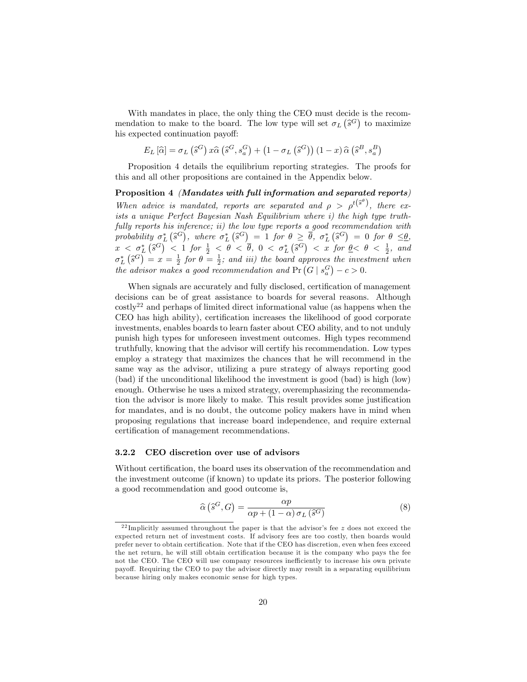With mandates in place, the only thing the CEO must decide is the recommendation to make to the board. The low type will set  $\sigma_L(\hat{s}^G)$  to maximize his expected continuation payoff:

$$
E_L\left[\widehat{\alpha}\right] = \sigma_L\left(\widehat{s}^G\right)x\widehat{\alpha}\left(\widehat{s}^G, s_a^G\right) + \left(1 - \sigma_L\left(\widehat{s}^G\right)\right)\left(1 - x\right)\widehat{\alpha}\left(\widehat{s}^B, s_a^B\right)
$$

Proposition 4 details the equilibrium reporting strategies. The proofs for this and all other propositions are contained in the Appendix below.

Proposition 4 (Mandates with full information and separated reports) When advice is mandated, reports are separated and  $\rho > \rho^{t(\hat{s}^{\theta})}$ , there exists a unique Perfect Bayesian Nash Equilibrium where i) the high type truthfully reports his inference; ii) the low type reports a good recommendation with probability  $\sigma_L^*$   $(\hat{s}^G)$ , where  $\sigma_L^*$   $(\hat{s}^G) = 1$  for  $\theta \ge \overline{\theta}$ ,  $\sigma_L^*$   $(\hat{s}^G) = 0$  for  $\theta \le \theta$ ,  $x < \sigma_L^*$  ( $\hat{s}^G$ )  $< 1$  for  $\frac{1}{2} < \theta < \overline{\theta}$ ,  $0 < \sigma_L^*$  ( $\hat{s}^G$ )  $< x$  for  $\theta < \theta < \frac{1}{2}$ , and  $\sigma_L^* (\hat{s}^G) = x = \frac{1}{2}$  for  $\theta = \frac{1}{2}$ ; and iii) the board approves the investment when the advisor makes a good recommendation and  $Pr(G | s_a^G) - c > 0$ .

When signals are accurately and fully disclosed, certification of management decisions can be of great assistance to boards for several reasons. Although  $\cos\left(\frac{1}{2}\right)^{22}$  and perhaps of limited direct informational value (as happens when the CEO has high ability), certification increases the likelihood of good corporate investments, enables boards to learn faster about CEO ability, and to not unduly punish high types for unforeseen investment outcomes. High types recommend truthfully, knowing that the advisor will certify his recommendation. Low types employ a strategy that maximizes the chances that he will recommend in the same way as the advisor, utilizing a pure strategy of always reporting good (bad) if the unconditional likelihood the investment is good (bad) is high (low) enough. Otherwise he uses a mixed strategy, overemphasizing the recommendation the advisor is more likely to make. This result provides some justification for mandates, and is no doubt, the outcome policy makers have in mind when proposing regulations that increase board independence, and require external certification of management recommendations.

## 3.2.2 CEO discretion over use of advisors

Without certification, the board uses its observation of the recommendation and the investment outcome (if known) to update its priors. The posterior following a good recommendation and good outcome is,

$$
\widehat{\alpha}\left(\widehat{s}^G, G\right) = \frac{\alpha p}{\alpha p + (1 - \alpha)\,\sigma_L\left(\widehat{s}^G\right)}\tag{8}
$$

<sup>&</sup>lt;sup>22</sup> Implicitly assumed throughout the paper is that the advisor's fee z does not exceed the expected return net of investment costs. If advisory fees are too costly, then boards would prefer never to obtain certification. Note that if the CEO has discretion, even when fees exceed the net return, he will still obtain certification because it is the company who pays the fee not the CEO. The CEO will use company resources inefficiently to increase his own private payo§. Requiring the CEO to pay the advisor directly may result in a separating equilibrium because hiring only makes economic sense for high types.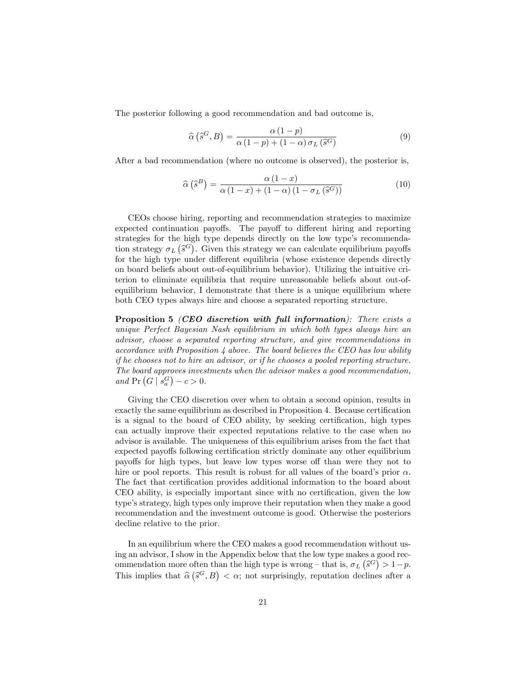The posterior following a good recommendation and bad outcome is,

$$
\widehat{\alpha}\left(\widehat{s}^G, B\right) = \frac{\alpha\left(1-p\right)}{\alpha\left(1-p\right) + \left(1-\alpha\right)\sigma_L\left(\widehat{s}^G\right)}\tag{9}
$$

After a bad recommendation (where no outcome is observed), the posterior is,

$$
\widehat{\alpha}\left(\widehat{s}^B\right) = \frac{\alpha\left(1-x\right)}{\alpha\left(1-x\right) + \left(1-\alpha\right)\left(1-\sigma_L\left(\widehat{s}^G\right)\right)}\tag{10}
$$

CEOs choose hiring, reporting and recommendation strategies to maximize expected continuation payoffs. The payoff to different hiring and reporting strategies for the high type depends directly on the low type's recommendation strategy  $\sigma_L(\hat{s}^G)$ . Given this strategy we can calculate equilibrium payoffs for the high type under different equilibria (whose existence depends directly on board beliefs about out-of-equilibrium behavior). Utilizing the intuitive criterion to eliminate equilibria that require unreasonable beliefs about out-ofequilibrium behavior, I demonstrate that there is a unique equilibrium where both CEO types always hire and choose a separated reporting structure.

Proposition 5 (CEO discretion with full information): There exists a unique Perfect Bayesian Nash equilibrium in which both types always hire an advisor, choose a separated reporting structure, and give recommendations in  $accordance with Proposition 4 above. The board believes the CEO has low ability$ if he chooses not to hire an advisor, or if he chooses a pooled reporting structure. The board approves investments when the advisor makes a good recommendation, and  $Pr(G | s_a^G) - c > 0$ .

Giving the CEO discretion over when to obtain a second opinion, results in exactly the same equilibrium as described in Proposition 4. Because certification is a signal to the board of CEO ability, by seeking certification, high types can actually improve their expected reputations relative to the case when no advisor is available. The uniqueness of this equilibrium arises from the fact that expected payoffs following certification strictly dominate any other equilibrium payoffs for high types, but leave low types worse off than were they not to hire or pool reports. This result is robust for all values of the board's prior  $\alpha$ . The fact that certification provides additional information to the board about CEO ability, is especially important since with no certification, given the low type's strategy, high types only improve their reputation when they make a good recommendation and the investment outcome is good. Otherwise the posteriors decline relative to the prior.

In an equilibrium where the CEO makes a good recommendation without using an advisor, I show in the Appendix below that the low type makes a good recommendation more often than the high type is wrong – that is,  $\sigma_L(\hat{s}^G) > 1-p$ . This implies that  $\hat{\alpha}(\hat{s}^G, B) < \alpha$ ; not surprisingly, reputation declines after a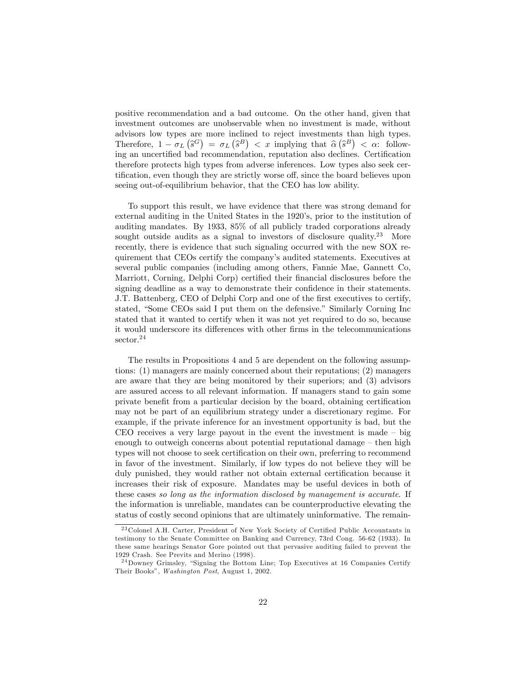positive recommendation and a bad outcome. On the other hand, given that investment outcomes are unobservable when no investment is made, without advisors low types are more inclined to reject investments than high types. Therefore,  $1 - \sigma_L(\hat{s}^G) = \sigma_L(\hat{s}^B) < x$  implying that  $\hat{\alpha}(\hat{s}^B) < \alpha$ : following an uncertified bad recommendation, reputation also declines. Certification therefore protects high types from adverse inferences. Low types also seek certification, even though they are strictly worse off, since the board believes upon seeing out-of-equilibrium behavior, that the CEO has low ability.

To support this result, we have evidence that there was strong demand for external auditing in the United States in the 1920's, prior to the institution of auditing mandates. By 1933, 85% of all publicly traded corporations already sought outside audits as a signal to investors of disclosure quality.<sup>23</sup> More recently, there is evidence that such signaling occurred with the new SOX requirement that CEOs certify the company's audited statements. Executives at several public companies (including among others, Fannie Mae, Gannett Co, Marriott, Corning, Delphi Corp) certified their financial disclosures before the signing deadline as a way to demonstrate their confidence in their statements. J.T. Battenberg, CEO of Delphi Corp and one of the first executives to certify, stated, "Some CEOs said I put them on the defensive." Similarly Corning Inc stated that it wanted to certify when it was not yet required to do so, because it would underscore its differences with other firms in the telecommunications sector.<sup>24</sup>

The results in Propositions 4 and 5 are dependent on the following assumptions: (1) managers are mainly concerned about their reputations; (2) managers are aware that they are being monitored by their superiors; and (3) advisors are assured access to all relevant information. If managers stand to gain some private benefit from a particular decision by the board, obtaining certification may not be part of an equilibrium strategy under a discretionary regime. For example, if the private inference for an investment opportunity is bad, but the CEO receives a very large payout in the event the investment is made  $-\overline{\text{big}}$ enough to outweigh concerns about potential reputational damage  $-$  then high types will not choose to seek certification on their own, preferring to recommend in favor of the investment. Similarly, if low types do not believe they will be duly punished, they would rather not obtain external certification because it increases their risk of exposure. Mandates may be useful devices in both of these cases so long as the information disclosed by management is accurate. If the information is unreliable, mandates can be counterproductive elevating the status of costly second opinions that are ultimately uninformative. The remain-

 $23$  Colonel A.H. Carter, President of New York Society of Certified Public Accountants in testimony to the Senate Committee on Banking and Currency, 73rd Cong. 56-62 (1933). In these same hearings Senator Gore pointed out that pervasive auditing failed to prevent the 1929 Crash. See Previts and Merino (1998).

 $24$ Downey Grimsley, "Signing the Bottom Line; Top Executives at 16 Companies Certify Their Books", Washington Post, August 1, 2002.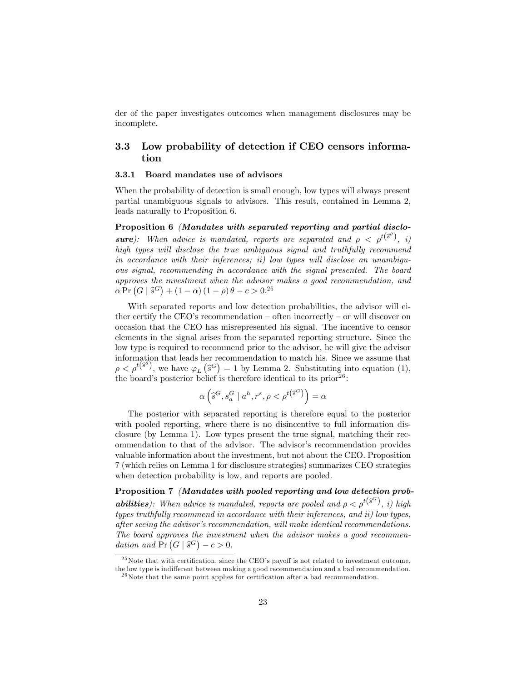der of the paper investigates outcomes when management disclosures may be incomplete.

## 3.3 Low probability of detection if CEO censors information

#### 3.3.1 Board mandates use of advisors

When the probability of detection is small enough, low types will always present partial unambiguous signals to advisors. This result, contained in Lemma 2, leads naturally to Proposition 6.

Proposition 6 (Mandates with separated reporting and partial disclo**sure**): When advice is mandated, reports are separated and  $\rho \langle \rho^{t(s^{\theta})}, i \rangle$ high types will disclose the true ambiguous signal and truthfully recommend in accordance with their inferences; ii) low types will disclose an unambiguous signal, recommending in accordance with the signal presented. The board approves the investment when the advisor makes a good recommendation, and  $\alpha \Pr(G | \hat{s}^G) + (1 - \alpha) (1 - \rho) \theta - c > 0.25$ 

With separated reports and low detection probabilities, the advisor will either certify the CEO's recommendation  $-$  often incorrectly  $-$  or will discover on occasion that the CEO has misrepresented his signal. The incentive to censor elements in the signal arises from the separated reporting structure. Since the low type is required to recommend prior to the advisor, he will give the advisor information that leads her recommendation to match his. Since we assume that  $\rho < \rho^{t(\hat{s}^{\theta})}$ , we have  $\varphi_L(\hat{s}^G) = 1$  by Lemma 2. Substituting into equation (1), the board's posterior belief is therefore identical to its  $prior^{26}$ :

$$
\alpha\left(\widehat{s}^{G},s^{G}_{a}\mid a^{h},r^{s},\rho<\rho^{t\left(\widehat{s}^{G}\right)}\right)=\alpha
$$

The posterior with separated reporting is therefore equal to the posterior with pooled reporting, where there is no disincentive to full information disclosure (by Lemma 1). Low types present the true signal, matching their recommendation to that of the advisor. The advisor's recommendation provides valuable information about the investment, but not about the CEO. Proposition 7 (which relies on Lemma 1 for disclosure strategies) summarizes CEO strategies when detection probability is low, and reports are pooled.

Proposition 7 (Mandates with pooled reporting and low detection prob**abilities**): When advice is mandated, reports are pooled and  $\rho < \rho^{t(S^G)}$ , i) high types truthfully recommend in accordance with their inferences, and ii) low types, after seeing the advisor's recommendation, will make identical recommendations. The board approves the investment when the advisor makes a good recommendation and  $Pr(G | \hat{s}^G) - c > 0$ .

 $^{25}$ Note that with certification, since the CEO's payoff is not related to investment outcome, the low type is indifferent between making a good recommendation and a bad recommendation.

 $^{26}$ Note that the same point applies for certification after a bad recommendation.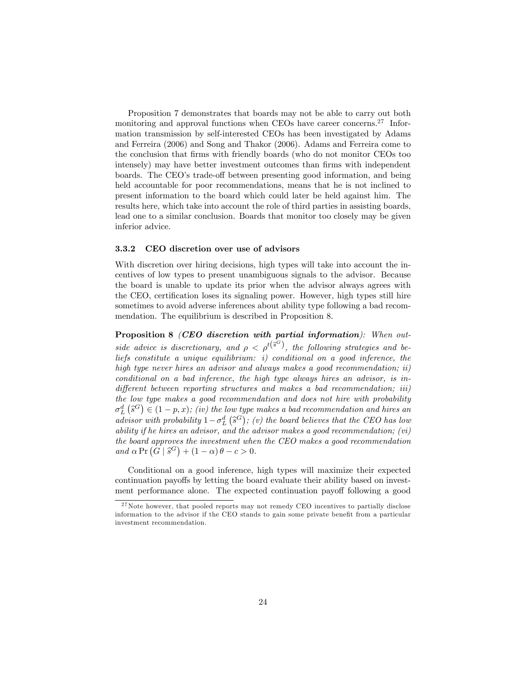Proposition 7 demonstrates that boards may not be able to carry out both monitoring and approval functions when CEOs have career concerns.<sup>27</sup> Information transmission by self-interested CEOs has been investigated by Adams and Ferreira (2006) and Song and Thakor (2006). Adams and Ferreira come to the conclusion that Örms with friendly boards (who do not monitor CEOs too intensely) may have better investment outcomes than firms with independent boards. The CEO's trade-off between presenting good information, and being held accountable for poor recommendations, means that he is not inclined to present information to the board which could later be held against him. The results here, which take into account the role of third parties in assisting boards, lead one to a similar conclusion. Boards that monitor too closely may be given inferior advice.

#### 3.3.2 CEO discretion over use of advisors

With discretion over hiring decisions, high types will take into account the incentives of low types to present unambiguous signals to the advisor. Because the board is unable to update its prior when the advisor always agrees with the CEO, certification loses its signaling power. However, high types still hire sometimes to avoid adverse inferences about ability type following a bad recommendation. The equilibrium is described in Proposition 8.

Proposition 8 (CEO discretion with partial information): When outside advice is discretionary, and  $\rho < \rho^{t(S^G)}$ , the following strategies and beliefs constitute a unique equilibrium: i) conditional on a good inference, the high type never hires an advisor and always makes a good recommendation; ii) conditional on a bad inference, the high type always hires an advisor, is in $differential$  between reporting structures and makes a bad recommendation; iii) the low type makes a good recommendation and does not hire with probability  $\sigma_L^d$  ( $\hat{s}^G$ )  $\in$  (1 - p, x); (iv) the low type makes a bad recommendation and hires and advisor with probability  $1-\sigma_L^d(\hat{s}^G)$ ; (v) the board believes that the CEO has low ability if he hires an advisor, and the advisor makes a good recommendation;  $(vi)$ the board approves the investment when the CEO makes a good recommendation and  $\alpha \Pr(G | \hat{s}^G) + (1 - \alpha) \theta - c > 0.$ 

Conditional on a good inference, high types will maximize their expected continuation payoffs by letting the board evaluate their ability based on investment performance alone. The expected continuation payoff following a good

<sup>&</sup>lt;sup>27</sup>Note however, that pooled reports may not remedy CEO incentives to partially disclose information to the advisor if the CEO stands to gain some private benefit from a particular investment recommendation.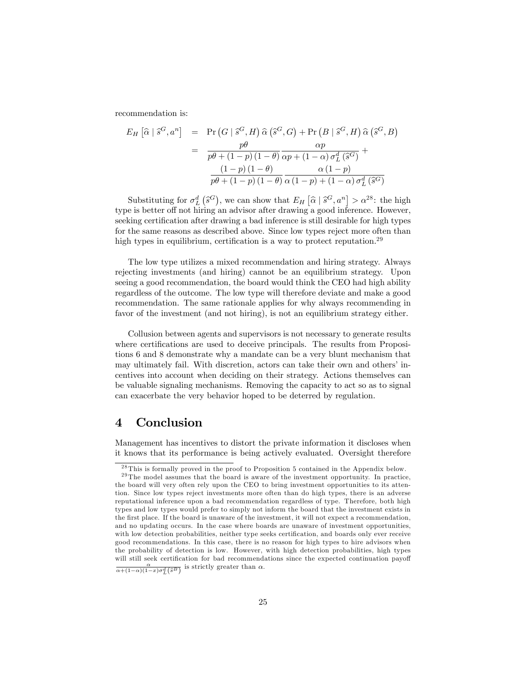recommendation is:

$$
E_H\left[\hat{\alpha} \mid \hat{s}^G, a^n\right] = \Pr\left(G \mid \hat{s}^G, H\right) \hat{\alpha}\left(\hat{s}^G, G\right) + \Pr\left(B \mid \hat{s}^G, H\right) \hat{\alpha}\left(\hat{s}^G, B\right)
$$

$$
= \frac{p\theta}{p\theta + (1-p)(1-\theta)} \frac{\alpha p}{\alpha p + (1-\alpha)\sigma_L^d\left(\hat{s}^G\right)} + \frac{(1-p)(1-\theta)}{p\theta + (1-p)(1-\theta)} \frac{\alpha(1-p)}{\alpha(1-p) + (1-\alpha)\sigma_L^d\left(\hat{s}^G\right)}
$$

Substituting for  $\sigma_L^d(\hat{s}^G)$ , we can show that  $E_H[\hat{\alpha} | \hat{s}^G, a^n] > \alpha^{28}$ ; the high type is better off not hiring an advisor after drawing a good inference. However, seeking certification after drawing a bad inference is still desirable for high types for the same reasons as described above. Since low types reject more often than high types in equilibrium, certification is a way to protect reputation.<sup>29</sup>

The low type utilizes a mixed recommendation and hiring strategy. Always rejecting investments (and hiring) cannot be an equilibrium strategy. Upon seeing a good recommendation, the board would think the CEO had high ability regardless of the outcome. The low type will therefore deviate and make a good recommendation. The same rationale applies for why always recommending in favor of the investment (and not hiring), is not an equilibrium strategy either.

Collusion between agents and supervisors is not necessary to generate results where certifications are used to deceive principals. The results from Propositions 6 and 8 demonstrate why a mandate can be a very blunt mechanism that may ultimately fail. With discretion, actors can take their own and others' incentives into account when deciding on their strategy. Actions themselves can be valuable signaling mechanisms. Removing the capacity to act so as to signal can exacerbate the very behavior hoped to be deterred by regulation.

# 4 Conclusion

Management has incentives to distort the private information it discloses when it knows that its performance is being actively evaluated. Oversight therefore

<sup>&</sup>lt;sup>28</sup> This is formally proved in the proof to Proposition 5 contained in the Appendix below.

<sup>&</sup>lt;sup>29</sup> The model assumes that the board is aware of the investment opportunity. In practice, the board will very often rely upon the CEO to bring investment opportunities to its attention. Since low types reject investments more often than do high types, there is an adverse reputational inference upon a bad recommendation regardless of type. Therefore, both high types and low types would prefer to simply not inform the board that the investment exists in the first place. If the board is unaware of the investment, it will not expect a recommendation, and no updating occurs. In the case where boards are unaware of investment opportunities, with low detection probabilities, neither type seeks certification, and boards only ever receive good recommendations. In this case, there is no reason for high types to hire advisors when the probability of detection is low. However, with high detection probabilities, high types will still seek certification for bad recommendations since the expected continuation payoff  $\frac{\alpha}{\alpha+(1-\alpha)(1-x)\sigma_L^d(\hat{s}^B)}$  is strictly greater than  $\alpha$ .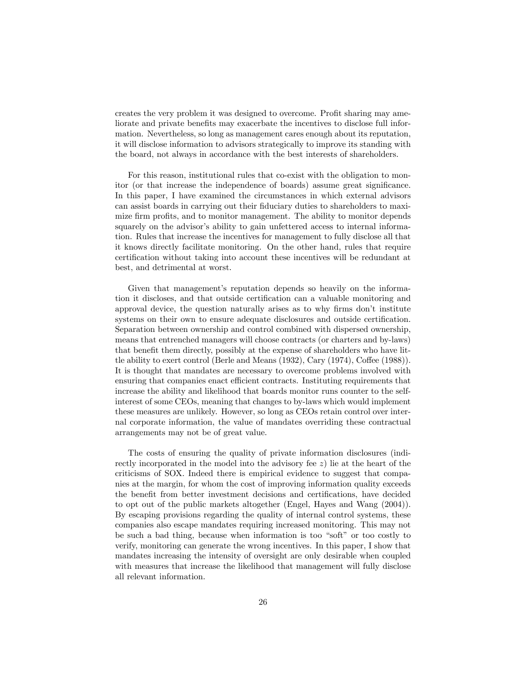creates the very problem it was designed to overcome. Profit sharing may ameliorate and private benefits may exacerbate the incentives to disclose full information. Nevertheless, so long as management cares enough about its reputation, it will disclose information to advisors strategically to improve its standing with the board, not always in accordance with the best interests of shareholders.

For this reason, institutional rules that co-exist with the obligation to monitor (or that increase the independence of boards) assume great significance. In this paper, I have examined the circumstances in which external advisors can assist boards in carrying out their fiduciary duties to shareholders to maximize firm profits, and to monitor management. The ability to monitor depends squarely on the advisor's ability to gain unfettered access to internal information. Rules that increase the incentives for management to fully disclose all that it knows directly facilitate monitoring. On the other hand, rules that require certification without taking into account these incentives will be redundant at best, and detrimental at worst.

Given that management's reputation depends so heavily on the information it discloses, and that outside certification can a valuable monitoring and approval device, the question naturally arises as to why firms don't institute systems on their own to ensure adequate disclosures and outside certification. Separation between ownership and control combined with dispersed ownership, means that entrenched managers will choose contracts (or charters and by-laws) that benefit them directly, possibly at the expense of shareholders who have little ability to exert control (Berle and Means  $(1932)$ , Cary  $(1974)$ , Coffee  $(1988)$ ). It is thought that mandates are necessary to overcome problems involved with ensuring that companies enact efficient contracts. Instituting requirements that increase the ability and likelihood that boards monitor runs counter to the selfinterest of some CEOs, meaning that changes to by-laws which would implement these measures are unlikely. However, so long as CEOs retain control over internal corporate information, the value of mandates overriding these contractual arrangements may not be of great value.

The costs of ensuring the quality of private information disclosures (indirectly incorporated in the model into the advisory fee z) lie at the heart of the criticisms of SOX. Indeed there is empirical evidence to suggest that companies at the margin, for whom the cost of improving information quality exceeds the benefit from better investment decisions and certifications, have decided to opt out of the public markets altogether (Engel, Hayes and Wang (2004)). By escaping provisions regarding the quality of internal control systems, these companies also escape mandates requiring increased monitoring. This may not be such a bad thing, because when information is too "soft" or too costly to verify, monitoring can generate the wrong incentives. In this paper, I show that mandates increasing the intensity of oversight are only desirable when coupled with measures that increase the likelihood that management will fully disclose all relevant information.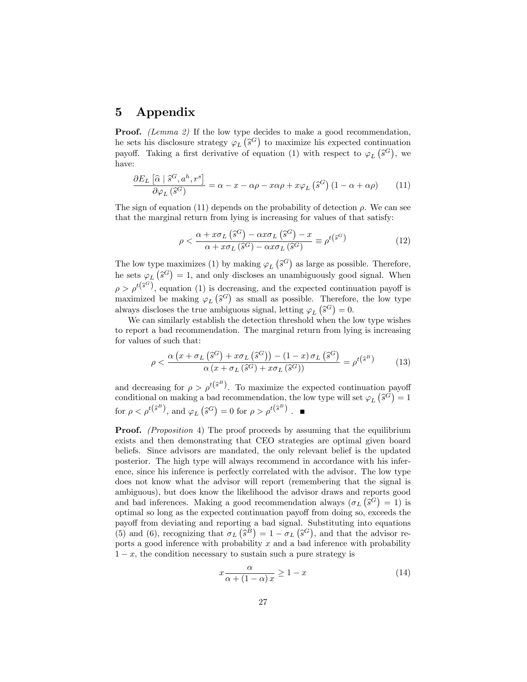# 5 Appendix

**Proof.** (Lemma 2) If the low type decides to make a good recommendation, he sets his disclosure strategy  $\varphi_L(\hat{s}^G)$  to maximize his expected continuation payoff. Taking a first derivative of equation (1) with respect to  $\varphi_L(\hat{s}^G)$ , we have:

$$
\frac{\partial E_L\left[\widehat{\alpha}\mid\widehat{s}^G, a^h, r^s\right]}{\partial \varphi_L\left(\widehat{s}^G\right)} = \alpha - x - \alpha \rho - x\alpha \rho + x\varphi_L\left(\widehat{s}^G\right)\left(1 - \alpha + \alpha \rho\right) \tag{11}
$$

The sign of equation (11) depends on the probability of detection  $\rho$ . We can see that the marginal return from lying is increasing for values of that satisfy:

$$
\rho < \frac{\alpha + x\sigma_L\left(\hat{s}^G\right) - \alpha x\sigma_L\left(\hat{s}^G\right) - x}{\alpha + x\sigma_L\left(\hat{s}^G\right) - \alpha x\sigma_L\left(\hat{s}^G\right)} \equiv \rho^{t\left(\hat{s}^G\right)}\tag{12}
$$

The low type maximizes (1) by making  $\varphi_L(\hat{s}^G)$  as large as possible. Therefore, he sets  $\varphi_L(\hat{s}^G) = 1$ , and only discloses an unambiguously good signal. When  $\rho > \rho^{t(\hat{s}^G)}$ , equation (1) is decreasing, and the expected continuation payoff is maximized be making  $\varphi_L(\hat{s}^G)$  as small as possible. Therefore, the low type always discloses the true ambiguous signal, letting  $\varphi_L(\hat{s}^G) = 0$ .

We can similarly establish the detection threshold when the low type wishes to report a bad recommendation. The marginal return from lying is increasing for values of such that:

$$
\rho < \frac{\alpha \left( x + \sigma_L \left( \hat{s}^G \right) + x \sigma_L \left( \hat{s}^G \right) \right) - (1 - x) \sigma_L \left( \hat{s}^G \right)}{\alpha \left( x + \sigma_L \left( \hat{s}^G \right) + x \sigma_L \left( \hat{s}^G \right) \right)} = \rho^{t \left( \hat{s}^B \right)} \tag{13}
$$

and decreasing for  $\rho > \rho^{t(\hat{s}^B)}$ . To maximize the expected continuation payoff conditional on making a bad recommendation, the low type will set  $\varphi_L(\hat{s}^G) = 1$ for  $\rho < \rho^{t(\hat{s}^B)}$ , and  $\varphi_L(\hat{s}^G) = 0$  for  $\rho > \rho^{t(\hat{s}^B)}$ .

Proof. (Proposition 4) The proof proceeds by assuming that the equilibrium exists and then demonstrating that CEO strategies are optimal given board beliefs. Since advisors are mandated, the only relevant belief is the updated posterior. The high type will always recommend in accordance with his inference, since his inference is perfectly correlated with the advisor. The low type does not know what the advisor will report (remembering that the signal is ambiguous), but does know the likelihood the advisor draws and reports good and bad inferences. Making a good recommendation always  $(\sigma_L (\hat{s}^G) = 1)$  is optimal so long as the expected continuation payoff from doing so, exceeds the payoff from deviating and reporting a bad signal. Substituting into equations (5) and (6), recognizing that  $\sigma_L(\hat{s}^B) = 1 - \sigma_L(\hat{s}^G)$ , and that the advisor reports a good inference with probability  $x$  and a bad inference with probability  $1 - x$ , the condition necessary to sustain such a pure strategy is

$$
x \frac{\alpha}{\alpha + (1 - \alpha)x} \ge 1 - x \tag{14}
$$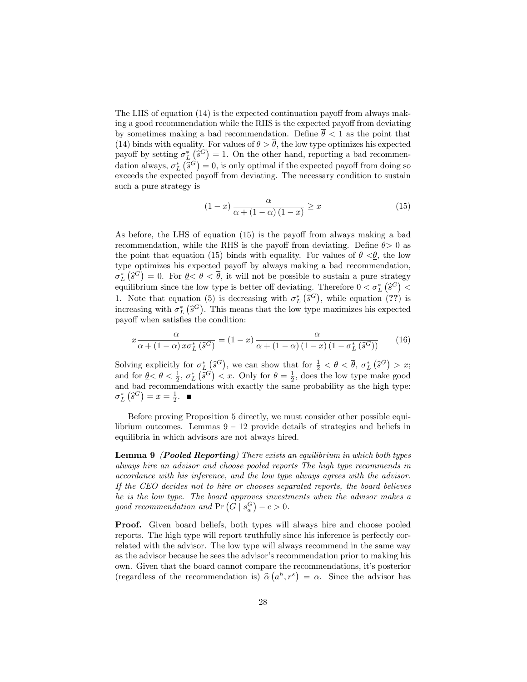The LHS of equation  $(14)$  is the expected continuation payoff from always making a good recommendation while the RHS is the expected payoff from deviating by sometimes making a bad recommendation. Define  $\bar{\theta}$  < 1 as the point that (14) binds with equality. For values of  $\theta > \overline{\theta}$ , the low type optimizes his expected payoff by setting  $\sigma_L^*(\hat{s}^G) = 1$ . On the other hand, reporting a bad recommendation always,  $\sigma_L^*(\hat{s}^G) = 0$ , is only optimal if the expected payoff from doing so exceeds the expected payoff from deviating. The necessary condition to sustain such a pure strategy is

$$
(1-x)\frac{\alpha}{\alpha + (1-\alpha)(1-x)} \ge x \tag{15}
$$

As before, the LHS of equation  $(15)$  is the payoff from always making a bad recommendation, while the RHS is the payoff from deviating. Define  $\theta > 0$  as the point that equation (15) binds with equality. For values of  $\theta \leq \theta$ , the low type optimizes his expected payoff by always making a bad recommendation,  $\sigma_L^*\left(\hat{s}^G\right) = 0$ . For  $\underline{\theta} < \overline{\theta}$ , it will not be possible to sustain a pure strategy equilibrium since the low type is better off deviating. Therefore  $0 < \sigma_L^*$  ( $\hat{s}^G$ ) < 1. Note that equation (5) is decreasing with  $\sigma_L^*$  ( $\hat{s}^G$ ), while equation (??) is increasing with  $\sigma_L^*$  ( $\hat{s}^G$ ). This means that the low type maximizes his expected payoff when satisfies the condition:

$$
x \frac{\alpha}{\alpha + (1 - \alpha)x\sigma_L^*(\hat{s}^G)} = (1 - x) \frac{\alpha}{\alpha + (1 - \alpha)(1 - x)(1 - \sigma_L^*(\hat{s}^G))}
$$
(16)

Solving explicitly for  $\sigma_L^*(\hat{s}^G)$ , we can show that for  $\frac{1}{2} < \theta < \overline{\theta}$ ,  $\sigma_L^*(\hat{s}^G) > x$ ; and for  $\theta \leq \theta \leq \frac{1}{2}$ ,  $\sigma_L^* (\hat{s}^G) \leq x$ . Only for  $\theta = \frac{1}{2}$ , does the low type make good and bad recommendations with exactly the same probability as the high type:  $\sigma_L^* \left( \hat{s}^G \right) = x = \frac{1}{2}.$ 

Before proving Proposition 5 directly, we must consider other possible equilibrium outcomes. Lemmas  $9 - 12$  provide details of strategies and beliefs in equilibria in which advisors are not always hired.

Lemma 9 *(Pooled Reporting)* There exists an equilibrium in which both types always hire an advisor and choose pooled reports The high type recommends in accordance with his inference, and the low type always agrees with the advisor. If the CEO decides not to hire or chooses separated reports, the board believes he is the low type. The board approves investments when the advisor makes a good recommendation and  $Pr(G | s_a^G) - c > 0$ .

Proof. Given board beliefs, both types will always hire and choose pooled reports. The high type will report truthfully since his inference is perfectly correlated with the advisor. The low type will always recommend in the same way as the advisor because he sees the advisor's recommendation prior to making his own. Given that the board cannot compare the recommendations, itís posterior (regardless of the recommendation is)  $\hat{\alpha}(a^h, r^s) = \alpha$ . Since the advisor has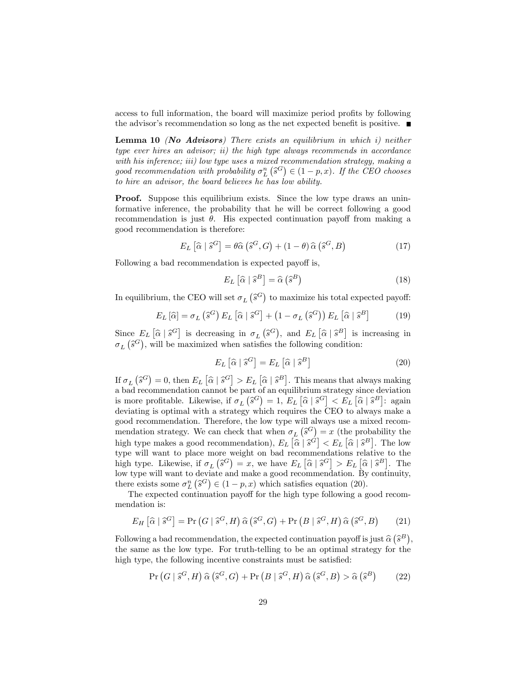access to full information, the board will maximize period profits by following the advisor's recommendation so long as the net expected benefit is positive.  $\blacksquare$ 

**Lemma 10** (No Advisors) There exists an equilibrium in which  $i$ ) neither type ever hires an advisor; ii) the high type always recommends in accordance with his inference; iii) low type uses a mixed recommendation strategy, making a good recommendation with probability  $\sigma_L^n(\hat{s}^G) \in (1-p, x)$ . If the CEO chooses to hire an advisor, the board believes he has low ability.

Proof. Suppose this equilibrium exists. Since the low type draws an uninformative inference, the probability that he will be correct following a good recommendation is just  $\theta$ . His expected continuation payoff from making a good recommendation is therefore:

$$
E_L\left[\widehat{\alpha}\mid \widehat{s}^G\right] = \theta \widehat{\alpha}\left(\widehat{s}^G, G\right) + (1-\theta)\widehat{\alpha}\left(\widehat{s}^G, B\right) \tag{17}
$$

Following a bad recommendation is expected payoff is,

$$
E_L\left[\widehat{\alpha}\mid\widehat{s}^B\right] = \widehat{\alpha}\left(\widehat{s}^B\right) \tag{18}
$$

In equilibrium, the CEO will set  $\sigma_L(\hat{s}^G)$  to maximize his total expected payoff:

$$
E_L\left[\widehat{\alpha}\right] = \sigma_L\left(\widehat{s}^G\right)E_L\left[\widehat{\alpha}\mid\widehat{s}^G\right] + \left(1 - \sigma_L\left(\widehat{s}^G\right)\right)E_L\left[\widehat{\alpha}\mid\widehat{s}^B\right] \tag{19}
$$

Since  $E_L[\hat{\alpha} | \hat{s}^G]$  is decreasing in  $\sigma_L(\hat{s}^G)$ , and  $E_L[\hat{\alpha} | \hat{s}^B]$  is increasing in  $\sigma_L(\hat{s}^G)$ , will be maximized when satisfies the following condition:

$$
E_L\left[\widehat{\alpha}\mid\widehat{s}^G\right] = E_L\left[\widehat{\alpha}\mid\widehat{s}^B\right]
$$
\n(20)

If  $\sigma_L(\hat{s}^G) = 0$ , then  $E_L[\hat{\alpha} | \hat{s}^G] > E_L[\hat{\alpha} | \hat{s}^B]$ . This means that always making a bad recommendation cannot be part of an equilibrium strategy since deviation is more profitable. Likewise, if  $\sigma_L(\hat{s}^G) = 1$ ,  $E_L[\hat{\alpha} | \hat{s}^G] < E_L[\hat{\alpha} | \hat{s}^B]$ : again deviating is optimal with a strategy which requires the CEO to always make a good recommendation. Therefore, the low type will always use a mixed recommendation strategy. We can check that when  $\sigma_L(\hat{s}^G) = x$  (the probability the high type makes a good recommendation),  $E_L[\hat{\alpha} | \hat{s}^{\hat{G}}] < E_L[\hat{\alpha} | \hat{s}^B]$ . The low type will want to place more weight on bad recommendations relative to the high type. Likewise, if  $\sigma_L(\hat{s}^G) = x$ , we have  $E_L[\hat{\alpha} | \hat{s}^G] > E_L[\hat{\alpha} | \hat{s}^B]$ . The low type will want to deviate and make a good recommendation. By continuity, there exists some  $\sigma_L^n(\hat{s}^G) \in (1-p, x)$  which satisfies equation (20).

The expected continuation payoff for the high type following a good recommendation is:

$$
E_H\left[\widehat{\alpha}\mid \widehat{s}^G\right] = \Pr\left(G\mid \widehat{s}^G, H\right)\widehat{\alpha}\left(\widehat{s}^G, G\right) + \Pr\left(B\mid \widehat{s}^G, H\right)\widehat{\alpha}\left(\widehat{s}^G, B\right) \tag{21}
$$

Following a bad recommendation, the expected continuation payoff is just  $\hat{\alpha}(\hat{s}^B)$ , the same as the low type. For truth-telling to be an optimal strategy for the high type, the following incentive constraints must be satisfied:

$$
\Pr\left(G \mid \hat{s}^G, H\right) \hat{\alpha}\left(\hat{s}^G, G\right) + \Pr\left(B \mid \hat{s}^G, H\right) \hat{\alpha}\left(\hat{s}^G, B\right) > \hat{\alpha}\left(\hat{s}^B\right) \tag{22}
$$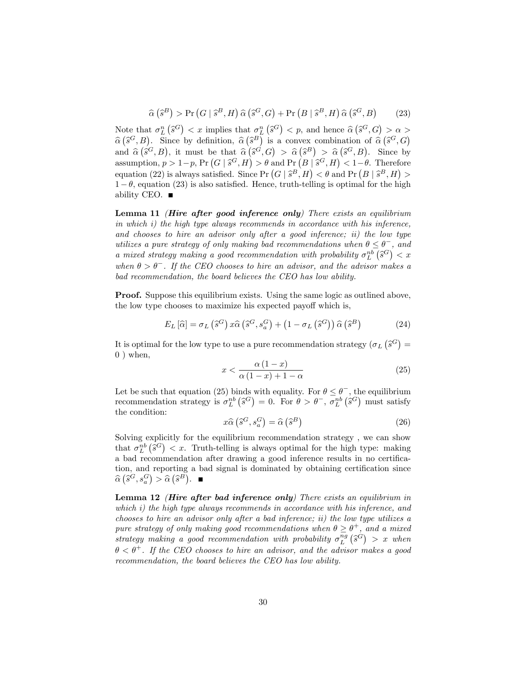$$
\widehat{\alpha}\left(\widehat{s}^B\right) > \Pr\left(G \mid \widehat{s}^B, H\right) \widehat{\alpha}\left(\widehat{s}^G, G\right) + \Pr\left(B \mid \widehat{s}^B, H\right) \widehat{\alpha}\left(\widehat{s}^G, B\right) \tag{23}
$$

Note that  $\sigma_L^n(\hat{s}^G) < x$  implies that  $\sigma_L^n(\hat{s}^G) < p$ , and hence  $\hat{\alpha}(\hat{s}^G, G) > \alpha >$  $\hat{\alpha}(\hat{s}^G, B)$ . Since by definition,  $\hat{\alpha}(\hat{s}^B)$  is a convex combination of  $\hat{\alpha}(\hat{s}^G, G)$ and  $\hat{\alpha}(\hat{s}^G, B)$ , it must be that  $\hat{\alpha}(\hat{s}^G, G) > \hat{\alpha}(\hat{s}^B) > \hat{\alpha}(\hat{s}^G, B)$ . Since by assumption,  $p > 1-p$ ,  $\Pr(G | \hat{s}^G, H) > \theta$  and  $\Pr(B | \hat{s}^G, H) < 1-\theta$ . Therefore equation (22) is always satisfied. Since  $Pr(G | \hat{s}^B, H) < \theta$  and  $Pr(B | \hat{s}^B, H) >$  $1 - \theta$ , equation (23) is also satisfied. Hence, truth-telling is optimal for the high ability CEO.  $\blacksquare$ 

Lemma 11 (Hire after good inference only) There exists an equilibrium in which i) the high type always recommends in accordance with his inference, and chooses to hire an advisor only after a good inference; ii) the low type utilizes a pure strategy of only making bad recommendations when  $\theta \leq \theta^-$ , and a mixed strategy making a good recommendation with probability  $\sigma_L^{nb}(\hat{s}^G) < x$ when  $\theta > \theta^-$ . If the CEO chooses to hire an advisor, and the advisor makes a bad recommendation, the board believes the CEO has low ability.

**Proof.** Suppose this equilibrium exists. Using the same logic as outlined above, the low type chooses to maximize his expected payoff which is,

$$
E_L\left[\widehat{\alpha}\right] = \sigma_L\left(\widehat{s}^G\right)x\widehat{\alpha}\left(\widehat{s}^G, s_a^G\right) + \left(1 - \sigma_L\left(\widehat{s}^G\right)\right)\widehat{\alpha}\left(\widehat{s}^B\right) \tag{24}
$$

It is optimal for the low type to use a pure recommendation strategy  $(\sigma_L(\hat{s}^G))$  $0$ ) when,

$$
x < \frac{\alpha \left(1 - x\right)}{\alpha \left(1 - x\right) + 1 - \alpha} \tag{25}
$$

Let be such that equation (25) binds with equality. For  $\theta \leq \theta^-$ , the equilibrium recommendation strategy is  $\sigma_L^{nb}(\hat{s}^G) = 0$ . For  $\theta > \theta^-$ ,  $\sigma_L^{nb}(\hat{s}^G)$  must satisfy the condition:

$$
x\widehat{\alpha}\left(\widehat{s}^G, s_a^G\right) = \widehat{\alpha}\left(\widehat{s}^B\right) \tag{26}
$$

Solving explicitly for the equilibrium recommendation strategy , we can show that  $\sigma_L^{nb}(\hat{s}^G) < x$ . Truth-telling is always optimal for the high type: making a bad recommendation after drawing a good inference results in no certification, and reporting a bad signal is dominated by obtaining certification since  $\widehat{\alpha}\left(\widehat{s}^G,s_a^G\right) > \widehat{\alpha}\left(\widehat{s}^B\right).$ 

Lemma 12 (Hire after bad inference only) There exists an equilibrium in which i) the high type always recommends in accordance with his inference, and chooses to hire an advisor only after a bad inference; ii) the low type utilizes a pure strategy of only making good recommendations when  $\theta \geq \theta^+$ , and a mixed strategy making a good recommendation with probability  $\sigma_L^{ng}(\hat{s}^G) > x$  when  $\theta < \theta^+$ . If the CEO chooses to hire an advisor, and the advisor makes a good recommendation, the board believes the CEO has low ability.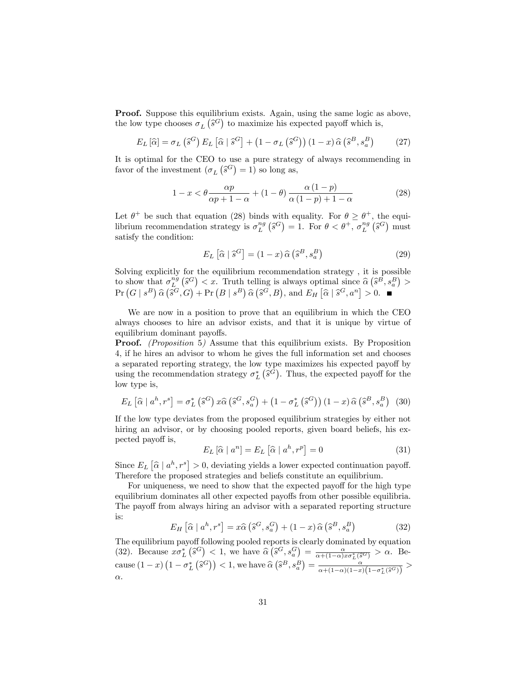Proof. Suppose this equilibrium exists. Again, using the same logic as above, the low type chooses  $\sigma_L(\hat{s}^G)$  to maximize his expected payoff which is,

$$
E_L\left[\widehat{\alpha}\right] = \sigma_L\left(\widehat{s}^G\right)E_L\left[\widehat{\alpha}\mid\widehat{s}^G\right] + \left(1 - \sigma_L\left(\widehat{s}^G\right)\right)\left(1 - x\right)\widehat{\alpha}\left(\widehat{s}^B, s_a^B\right) \tag{27}
$$

It is optimal for the CEO to use a pure strategy of always recommending in favor of the investment  $(\sigma_L(\hat{s}^G) = 1)$  so long as,

$$
1 - x < \theta \frac{\alpha p}{\alpha p + 1 - \alpha} + (1 - \theta) \frac{\alpha (1 - p)}{\alpha (1 - p) + 1 - \alpha} \tag{28}
$$

Let  $\theta^+$  be such that equation (28) binds with equality. For  $\theta \ge \theta^+$ , the equilibrium recommendation strategy is  $\sigma_L^{ng}(\hat{s}^G) = 1$ . For  $\theta < \theta^+$ ,  $\sigma_L^{ng}(\hat{s}^G)$  must satisfy the condition:

$$
E_L\left[\widehat{\alpha}\mid \widehat{s}^G\right] = (1-x)\,\widehat{\alpha}\left(\widehat{s}^B, s_a^B\right) \tag{29}
$$

Solving explicitly for the equilibrium recommendation strategy , it is possible to show that  $\sigma_L^{ng}(\hat{s}^G) < x$ . Truth telling is always optimal since  $\hat{\alpha}(\hat{s}^B, s_a^B) >$  $\Pr(G \mid s^B) \widehat{\alpha} (\overline{\widehat{s}^G}, \widehat{G}) + \Pr(B \mid s^B) \widehat{\alpha} (\widehat{s}^G, B), \text{ and } E_H \left[ \widehat{\alpha} \mid \widehat{s}^G, a^n \right] > 0.$ 

We are now in a position to prove that an equilibrium in which the CEO always chooses to hire an advisor exists, and that it is unique by virtue of equilibrium dominant payoffs.

Proof. (Proposition 5) Assume that this equilibrium exists. By Proposition 4, if he hires an advisor to whom he gives the full information set and chooses a separated reporting strategy, the low type maximizes his expected payoff by using the recommendation strategy  $\sigma_L^*$  ( $\hat{s}^G$ ). Thus, the expected payoff for the low type is,

$$
E_L\left[\widehat{\alpha}\mid a^h, r^s\right] = \sigma_L^*\left(\widehat{s}^G\right)x\widehat{\alpha}\left(\widehat{s}^G, s_a^G\right) + \left(1 - \sigma_L^*\left(\widehat{s}^G\right)\right)\left(1 - x\right)\widehat{\alpha}\left(\widehat{s}^B, s_a^B\right) \tag{30}
$$

If the low type deviates from the proposed equilibrium strategies by either not hiring an advisor, or by choosing pooled reports, given board beliefs, his expected payoff is,

$$
E_L\left[\widehat{\alpha} \mid a^n\right] = E_L\left[\widehat{\alpha} \mid a^h, r^p\right] = 0\tag{31}
$$

Since  $E_L[\hat{\alpha} | a^h, r^s] > 0$ , deviating yields a lower expected continuation payoff. Therefore the proposed strategies and beliefs constitute an equilibrium.

For uniqueness, we need to show that the expected payoff for the high type equilibrium dominates all other expected payoffs from other possible equilibria. The payoff from always hiring an advisor with a separated reporting structure is:

$$
E_H\left[\widehat{\alpha} \mid a^h, r^s\right] = x\widehat{\alpha}\left(\widehat{s}^G, s_a^G\right) + (1-x)\widehat{\alpha}\left(\widehat{s}^B, s_a^B\right) \tag{32}
$$

The equilibrium payoff following pooled reports is clearly dominated by equation (32). Because  $x\sigma_L^*\left(\hat{s}^G\right) < 1$ , we have  $\hat{\alpha}\left(\hat{s}^G, s_a^G\right) = \frac{\alpha}{\alpha + (1-\alpha)x\sigma_L^*(\hat{s}^G)} > \alpha$ . Because  $(1-x)\left(1-\sigma_L^*\left(\hat{s}^G\right)\right) < 1$ , we have  $\hat{\alpha}\left(\hat{s}^B, s_a^B\right) = \frac{1}{\alpha + (1-\alpha)(1-x)\left(1-\sigma_L^*(\hat{s}^G)\right)} >$  $\alpha$ .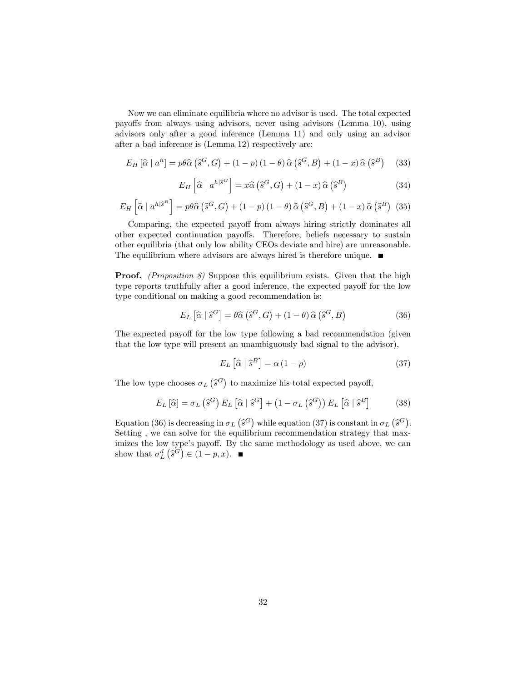Now we can eliminate equilibria where no advisor is used. The total expected payoffs from always using advisors, never using advisors (Lemma 10), using advisors only after a good inference (Lemma 11) and only using an advisor after a bad inference is (Lemma 12) respectively are:

$$
E_H\left[\widehat{\alpha}\mid a^n\right] = p\theta\widehat{\alpha}\left(\widehat{s}^G, G\right) + (1-p)\left(1-\theta\right)\widehat{\alpha}\left(\widehat{s}^G, B\right) + (1-x)\widehat{\alpha}\left(\widehat{s}^B\right) \tag{33}
$$

$$
E_H\left[\hat{\alpha} \mid a^{h|\hat{s}^G}\right] = x\hat{\alpha}\left(\hat{s}^G, G\right) + (1-x)\hat{\alpha}\left(\hat{s}^B\right) \tag{34}
$$

$$
E_H\left[\hat{\alpha} \mid a^{h|\hat{s}^B}\right] = p\theta\hat{\alpha}\left(\hat{s}^G, G\right) + (1-p)\left(1-\theta\right)\hat{\alpha}\left(\hat{s}^G, B\right) + (1-x)\hat{\alpha}\left(\hat{s}^B\right) \tag{35}
$$

Comparing, the expected payoff from always hiring strictly dominates all other expected continuation payoffs. Therefore, beliefs necessary to sustain other equilibria (that only low ability CEOs deviate and hire) are unreasonable. The equilibrium where advisors are always hired is therefore unique.  $\blacksquare$ 

**Proof.** (Proposition 8) Suppose this equilibrium exists. Given that the high type reports truthfully after a good inference, the expected payoff for the low type conditional on making a good recommendation is:

$$
E_L\left[\widehat{\alpha}\mid \widehat{s}^G\right] = \theta \widehat{\alpha}\left(\widehat{s}^G, G\right) + (1-\theta)\widehat{\alpha}\left(\widehat{s}^G, B\right) \tag{36}
$$

The expected payoff for the low type following a bad recommendation (given that the low type will present an unambiguously bad signal to the advisor),

$$
E_L\left[\widehat{\alpha}\mid\widehat{s}^B\right] = \alpha\left(1-\rho\right) \tag{37}
$$

The low type chooses  $\sigma_L(\hat{s}^G)$  to maximize his total expected payoff,

$$
E_L\left[\widehat{\alpha}\right] = \sigma_L\left(\widehat{s}^G\right)E_L\left[\widehat{\alpha}\mid\widehat{s}^G\right] + \left(1 - \sigma_L\left(\widehat{s}^G\right)\right)E_L\left[\widehat{\alpha}\mid\widehat{s}^B\right] \tag{38}
$$

Equation (36) is decreasing in  $\sigma_L(\hat{s}^G)$  while equation (37) is constant in  $\sigma_L(\hat{s}^G)$ . Setting , we can solve for the equilibrium recommendation strategy that maximizes the low type's payoff. By the same methodology as used above, we can show that  $\sigma_L^d\left(\hat{s}^{\tilde{G}}\right) \in (1-p, x)$ .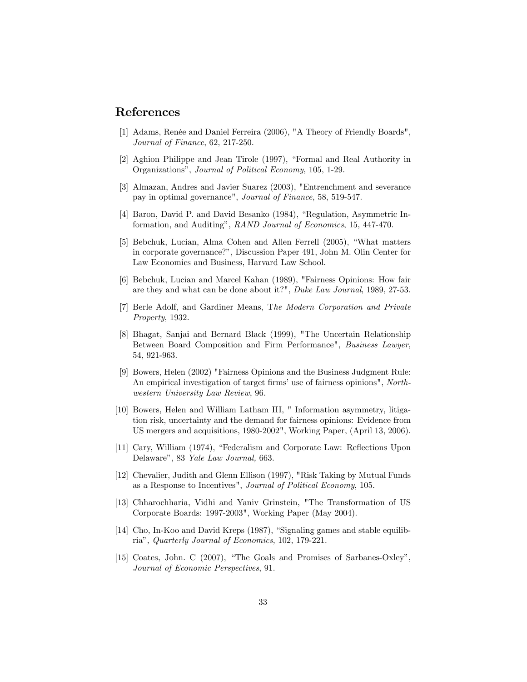# References

- [1] Adams, Renée and Daniel Ferreira (2006), "A Theory of Friendly Boards", Journal of Finance, 62, 217-250.
- [2] Aghion Philippe and Jean Tirole (1997), "Formal and Real Authority in Organizations", Journal of Political Economy, 105, 1-29.
- [3] Almazan, Andres and Javier Suarez (2003), "Entrenchment and severance pay in optimal governance", Journal of Finance, 58, 519-547.
- [4] Baron, David P. and David Besanko (1984), "Regulation, Asymmetric Information, and Auditing", RAND Journal of Economics, 15, 447-470.
- [5] Bebchuk, Lucian, Alma Cohen and Allen Ferrell (2005), "What matters in corporate governance?î, Discussion Paper 491, John M. Olin Center for Law Economics and Business, Harvard Law School.
- [6] Bebchuk, Lucian and Marcel Kahan (1989), "Fairness Opinions: How fair are they and what can be done about it?", Duke Law Journal, 1989, 27-53.
- [7] Berle Adolf, and Gardiner Means, The Modern Corporation and Private Property, 1932.
- [8] Bhagat, Sanjai and Bernard Black (1999), "The Uncertain Relationship Between Board Composition and Firm Performance", Business Lawyer, 54, 921-963.
- [9] Bowers, Helen (2002) "Fairness Opinions and the Business Judgment Rule: An empirical investigation of target firms' use of fairness opinions", Northwestern University Law Review, 96.
- [10] Bowers, Helen and William Latham III, " Information asymmetry, litigation risk, uncertainty and the demand for fairness opinions: Evidence from US mergers and acquisitions, 1980-2002", Working Paper, (April 13, 2006).
- [11] Cary, William (1974), "Federalism and Corporate Law: Reflections Upon Delaware", 83 Yale Law Journal, 663.
- [12] Chevalier, Judith and Glenn Ellison (1997), "Risk Taking by Mutual Funds as a Response to Incentives", Journal of Political Economy, 105.
- [13] Chharochharia, Vidhi and Yaniv Grinstein, "The Transformation of US Corporate Boards: 1997-2003", Working Paper (May 2004).
- [14] Cho, In-Koo and David Kreps (1987), "Signaling games and stable equilibriaî, Quarterly Journal of Economics, 102, 179-221.
- [15] Coates, John. C  $(2007)$ , "The Goals and Promises of Sarbanes-Oxley", Journal of Economic Perspectives, 91.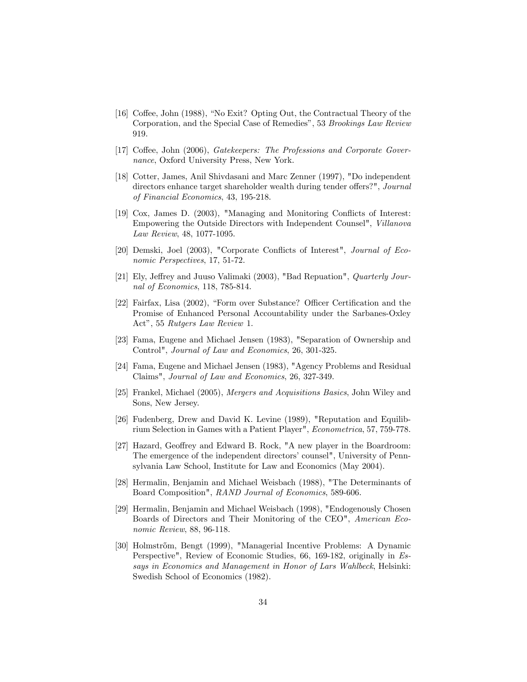- [16] Coffee, John (1988), "No Exit? Opting Out, the Contractual Theory of the Corporation, and the Special Case of Remedies", 53 Brookings Law Review 919.
- [17] Coffee, John (2006), Gatekeepers: The Professions and Corporate Governance, Oxford University Press, New York.
- [18] Cotter, James, Anil Shivdasani and Marc Zenner (1997), "Do independent directors enhance target shareholder wealth during tender offers?", Journal of Financial Economics, 43, 195-218.
- [19] Cox, James D. (2003), "Managing and Monitoring Conflicts of Interest: Empowering the Outside Directors with Independent Counsel", Villanova Law Review, 48, 1077-1095.
- [20] Demski, Joel (2003), "Corporate Conflicts of Interest", *Journal of Eco*nomic Perspectives, 17, 51-72.
- [21] Ely, Jeffrey and Juuso Valimaki (2003), "Bad Repuation", Quarterly Journal of Economics, 118, 785-814.
- [22] Fairfax, Lisa (2002), "Form over Substance? Officer Certification and the Promise of Enhanced Personal Accountability under the Sarbanes-Oxley Act", 55 Rutgers Law Review 1.
- [23] Fama, Eugene and Michael Jensen (1983), "Separation of Ownership and Control", Journal of Law and Economics, 26, 301-325.
- [24] Fama, Eugene and Michael Jensen (1983), "Agency Problems and Residual Claims", Journal of Law and Economics, 26, 327-349.
- [25] Frankel, Michael (2005), Mergers and Acquisitions Basics, John Wiley and Sons, New Jersey.
- [26] Fudenberg, Drew and David K. Levine (1989), "Reputation and Equilibrium Selection in Games with a Patient Player", Econometrica, 57, 759-778.
- [27] Hazard, Geoffrey and Edward B. Rock, "A new player in the Boardroom: The emergence of the independent directors' counsel", University of Pennsylvania Law School, Institute for Law and Economics (May 2004).
- [28] Hermalin, Benjamin and Michael Weisbach (1988), "The Determinants of Board Composition", RAND Journal of Economics, 589-606.
- [29] Hermalin, Benjamin and Michael Weisbach (1998), "Endogenously Chosen Boards of Directors and Their Monitoring of the CEO", American Economic Review, 88, 96-118.
- [30] Holmstr½om, Bengt (1999), "Managerial Incentive Problems: A Dynamic Perspective", Review of Economic Studies, 66, 169-182, originally in Essays in Economics and Management in Honor of Lars Wahlbeck, Helsinki: Swedish School of Economics (1982).